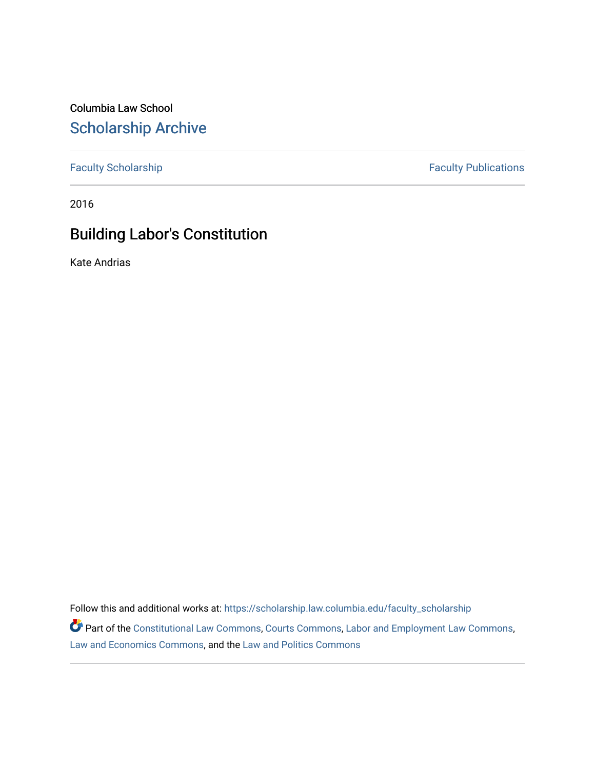Columbia Law School [Scholarship Archive](https://scholarship.law.columbia.edu/) 

[Faculty Scholarship](https://scholarship.law.columbia.edu/faculty_scholarship) **Faculty Publications** 

2016

# Building Labor's Constitution

Kate Andrias

Follow this and additional works at: [https://scholarship.law.columbia.edu/faculty\\_scholarship](https://scholarship.law.columbia.edu/faculty_scholarship?utm_source=scholarship.law.columbia.edu%2Ffaculty_scholarship%2F2858&utm_medium=PDF&utm_campaign=PDFCoverPages)

Part of the [Constitutional Law Commons,](http://network.bepress.com/hgg/discipline/589?utm_source=scholarship.law.columbia.edu%2Ffaculty_scholarship%2F2858&utm_medium=PDF&utm_campaign=PDFCoverPages) [Courts Commons,](http://network.bepress.com/hgg/discipline/839?utm_source=scholarship.law.columbia.edu%2Ffaculty_scholarship%2F2858&utm_medium=PDF&utm_campaign=PDFCoverPages) [Labor and Employment Law Commons](http://network.bepress.com/hgg/discipline/909?utm_source=scholarship.law.columbia.edu%2Ffaculty_scholarship%2F2858&utm_medium=PDF&utm_campaign=PDFCoverPages), [Law and Economics Commons,](http://network.bepress.com/hgg/discipline/612?utm_source=scholarship.law.columbia.edu%2Ffaculty_scholarship%2F2858&utm_medium=PDF&utm_campaign=PDFCoverPages) and the [Law and Politics Commons](http://network.bepress.com/hgg/discipline/867?utm_source=scholarship.law.columbia.edu%2Ffaculty_scholarship%2F2858&utm_medium=PDF&utm_campaign=PDFCoverPages)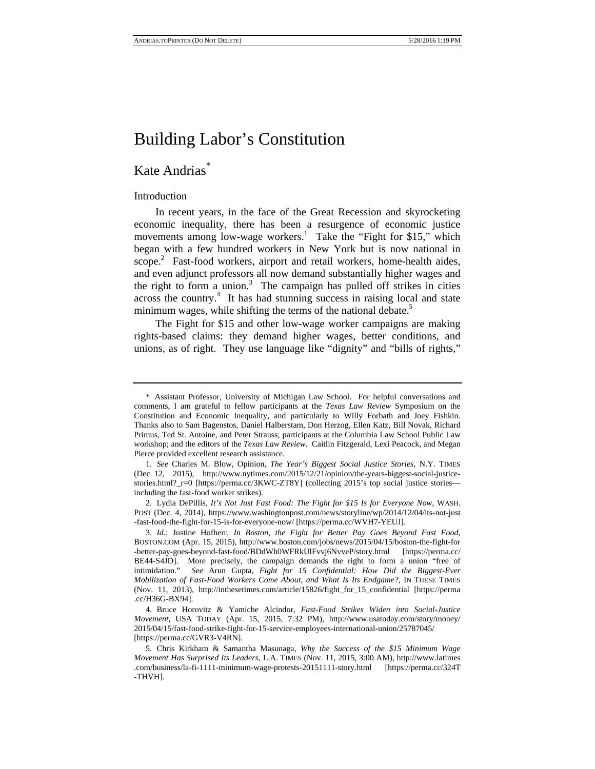### Kate Andrias<sup>\*</sup>

#### Introduction

In recent years, in the face of the Great Recession and skyrocketing economic inequality, there has been a resurgence of economic justice movements among low-wage workers.<sup>1</sup> Take the "Fight for \$15," which began with a few hundred workers in New York but is now national in scope.<sup>2</sup> Fast-food workers, airport and retail workers, home-health aides, and even adjunct professors all now demand substantially higher wages and the right to form a union.<sup>3</sup> The campaign has pulled off strikes in cities across the country.<sup>4</sup> It has had stunning success in raising local and state minimum wages, while shifting the terms of the national debate.<sup>5</sup>

The Fight for \$15 and other low-wage worker campaigns are making rights-based claims: they demand higher wages, better conditions, and unions, as of right. They use language like "dignity" and "bills of rights,"

<sup>\*</sup> Assistant Professor, University of Michigan Law School. For helpful conversations and comments, I am grateful to fellow participants at the *Texas Law Review* Symposium on the Constitution and Economic Inequality, and particularly to Willy Forbath and Joey Fishkin. Thanks also to Sam Bagenstos, Daniel Halberstam, Don Herzog, Ellen Katz, Bill Novak, Richard Primus, Ted St. Antoine, and Peter Strauss; participants at the Columbia Law School Public Law workshop; and the editors of the *Texas Law Review*. Caitlin Fitzgerald, Lexi Peacock, and Megan Pierce provided excellent research assistance.

<sup>1.</sup> *See* Charles M. Blow, Opinion, *The Year's Biggest Social Justice Stories*, N.Y. TIMES (Dec. 12, 2015), http://www.nytimes.com/2015/12/21/opinion/the-years-biggest-social-justicestories.html?\_r=0 [https://perma.cc/3KWC-ZT8Y] (collecting 2015's top social justice stories including the fast-food worker strikes).

<sup>2.</sup> Lydia DePillis, *It's Not Just Fast Food: The Fight for \$15 Is for Everyone Now*, WASH. POST (Dec. 4, 2014), https://www.washingtonpost.com/news/storyline/wp/2014/12/04/its-not-just -fast-food-the-fight-for-15-is-for-everyone-now/ [https://perma.cc/WVH7-YEUJ].

<sup>3.</sup> *Id.*; Justine Hofherr, *In Boston, the Fight for Better Pay Goes Beyond Fast Food*, BOSTON.COM (Apr. 15, 2015), http://www.boston.com/jobs/news/2015/04/15/boston-the-fight-for -better-pay-goes-beyond-fast-food/BDdWh0WFRkUlFvvj6NvveP/story.html [https://perma.cc/ BE44-S4JD]. More precisely, the campaign demands the right to form a union "free of intimidation." *See* Arun Gupta, *Fight for 15 Confidential: How Did the Biggest-Ever Mobilization of Fast-Food Workers Come About, and What Is Its Endgame?*, IN THESE TIMES (Nov. 11, 2013), http://inthesetimes.com/article/15826/fight\_for\_15\_confidential [https://perma .cc/H36G-BX94].

<sup>4.</sup> Bruce Horovitz & Yamiche Alcindor, *Fast-Food Strikes Widen into Social-Justice Movement*, USA TODAY (Apr. 15, 2015, 7:32 PM), http://www.usatoday.com/story/money/ 2015/04/15/fast-food-strike-fight-for-15-service-employees-international-union/25787045/ [https://perma.cc/GVR3-V4RN].

<sup>5.</sup> Chris Kirkham & Samantha Masunaga, *Why the Success of the \$15 Minimum Wage Movement Has Surprised Its Leaders*, L.A. TIMES (Nov. 11, 2015, 3:00 AM), http://www.latimes .com/business/la-fi-1111-minimum-wage-protests-20151111-story.html [https://perma.cc/324T -THVH].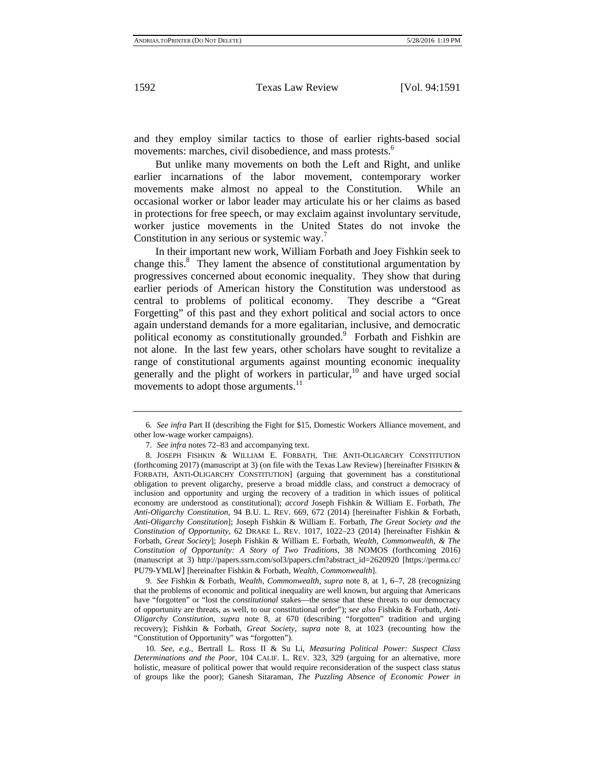and they employ similar tactics to those of earlier rights-based social movements: marches, civil disobedience, and mass protests.<sup>6</sup>

But unlike many movements on both the Left and Right, and unlike earlier incarnations of the labor movement, contemporary worker movements make almost no appeal to the Constitution. While an occasional worker or labor leader may articulate his or her claims as based in protections for free speech, or may exclaim against involuntary servitude, worker justice movements in the United States do not invoke the Constitution in any serious or systemic way.<sup>7</sup>

In their important new work, William Forbath and Joey Fishkin seek to change this. $8$  They lament the absence of constitutional argumentation by progressives concerned about economic inequality. They show that during earlier periods of American history the Constitution was understood as central to problems of political economy. They describe a "Great Forgetting" of this past and they exhort political and social actors to once again understand demands for a more egalitarian, inclusive, and democratic political economy as constitutionally grounded.<sup>9</sup> Forbath and Fishkin are not alone. In the last few years, other scholars have sought to revitalize a range of constitutional arguments against mounting economic inequality generally and the plight of workers in particular,  $10^{\circ}$  and have urged social movements to adopt those arguments.<sup>11</sup>

9. *See* Fishkin & Forbath, *Wealth, Commonwealth*, *supra* note 8, at 1, 6–7, 28 (recognizing that the problems of economic and political inequality are well known, but arguing that Americans have "forgotten" or "lost the *constitutional* stakes—the sense that these threats to our democracy of opportunity are threats, as well, to our constitutional order"); *see also* Fishkin & Forbath, *Anti-Oligarchy Constitution*, *supra* note 8, at 670 (describing "forgotten" tradition and urging recovery); Fishkin & Forbath, *Great Society*, *supra* note 8, at 1023 (recounting how the "Constitution of Opportunity" was "forgotten").

<sup>6.</sup> *See infra* Part II (describing the Fight for \$15, Domestic Workers Alliance movement, and other low-wage worker campaigns).

<sup>7.</sup> *See infra* notes 72–83 and accompanying text.

<sup>8.</sup> JOSEPH FISHKIN & WILLIAM E. FORBATH, THE ANTI-OLIGARCHY CONSTITUTION (forthcoming 2017) (manuscript at 3) (on file with the Texas Law Review) [hereinafter FISHKIN & FORBATH, ANTI-OLIGARCHY CONSTITUTION] (arguing that government has a constitutional obligation to prevent oligarchy, preserve a broad middle class, and construct a democracy of inclusion and opportunity and urging the recovery of a tradition in which issues of political economy are understood as constitutional); *accord* Joseph Fishkin & William E. Forbath, *The Anti-Oligarchy Constitution*, 94 B.U. L. REV. 669, 672 (2014) [hereinafter Fishkin & Forbath, *Anti-Oligarchy Constitution*]; Joseph Fishkin & William E. Forbath, *The Great Society and the Constitution of Opportunity*, 62 DRAKE L. REV. 1017, 1022–23 (2014) [hereinafter Fishkin & Forbath, *Great Society*]; Joseph Fishkin & William E. Forbath, *Wealth, Commonwealth, & The Constitution of Opportunity: A Story of Two Traditions*, 38 NOMOS (forthcoming 2016) (manuscript at 3) http://papers.ssrn.com/sol3/papers.cfm?abstract\_id=2620920 [https://perma.cc/ PU79-YMLW] [hereinafter Fishkin & Forbath, *Wealth, Commonwealth*].

<sup>10.</sup> *See, e.g.*, Bertrall L. Ross II & Su Li, *Measuring Political Power: Suspect Class Determinations and the Poor*, 104 CALIF. L. REV. 323, 329 (arguing for an alternative, more holistic, measure of political power that would require reconsideration of the suspect class status of groups like the poor); Ganesh Sitaraman, *The Puzzling Absence of Economic Power in*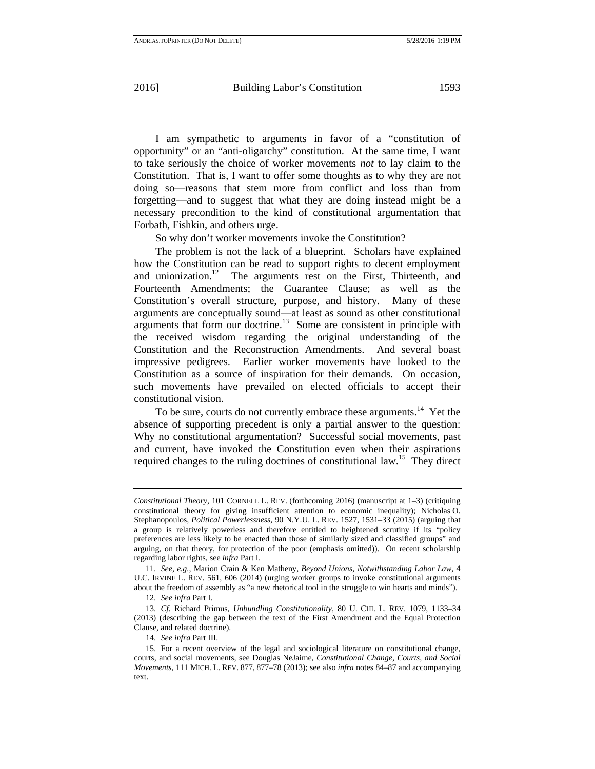I am sympathetic to arguments in favor of a "constitution of opportunity" or an "anti-oligarchy" constitution. At the same time, I want to take seriously the choice of worker movements *not* to lay claim to the Constitution. That is, I want to offer some thoughts as to why they are not doing so—reasons that stem more from conflict and loss than from forgetting—and to suggest that what they are doing instead might be a necessary precondition to the kind of constitutional argumentation that Forbath, Fishkin, and others urge.

So why don't worker movements invoke the Constitution?

The problem is not the lack of a blueprint. Scholars have explained how the Constitution can be read to support rights to decent employment and unionization.<sup>12</sup> The arguments rest on the First, Thirteenth, and Fourteenth Amendments; the Guarantee Clause; as well as the Constitution's overall structure, purpose, and history. Many of these arguments are conceptually sound—at least as sound as other constitutional arguments that form our doctrine.<sup>13</sup> Some are consistent in principle with the received wisdom regarding the original understanding of the Constitution and the Reconstruction Amendments. And several boast impressive pedigrees. Earlier worker movements have looked to the Constitution as a source of inspiration for their demands. On occasion, such movements have prevailed on elected officials to accept their constitutional vision.

To be sure, courts do not currently embrace these arguments.<sup>14</sup> Yet the absence of supporting precedent is only a partial answer to the question: Why no constitutional argumentation? Successful social movements, past and current, have invoked the Constitution even when their aspirations required changes to the ruling doctrines of constitutional law.15 They direct

*Constitutional Theory*, 101 CORNELL L. REV. (forthcoming 2016) (manuscript at 1–3) (critiquing constitutional theory for giving insufficient attention to economic inequality); Nicholas O. Stephanopoulos, *Political Powerlessness*, 90 N.Y.U. L. REV. 1527, 1531–33 (2015) (arguing that a group is relatively powerless and therefore entitled to heightened scrutiny if its "policy preferences are less likely to be enacted than those of similarly sized and classified groups" and arguing, on that theory, for protection of the poor (emphasis omitted)). On recent scholarship regarding labor rights, see *infra* Part I.

<sup>11.</sup> *See, e.g.*, Marion Crain & Ken Matheny, *Beyond Unions, Notwithstanding Labor Law*, 4 U.C. IRVINE L. REV. 561, 606 (2014) (urging worker groups to invoke constitutional arguments about the freedom of assembly as "a new rhetorical tool in the struggle to win hearts and minds").

<sup>12.</sup> *See infra* Part I.

<sup>13.</sup> *Cf.* Richard Primus, *Unbundling Constitutionality*, 80 U. CHI. L. REV. 1079, 1133–34 (2013) (describing the gap between the text of the First Amendment and the Equal Protection Clause, and related doctrine).

<sup>14.</sup> *See infra* Part III.

<sup>15.</sup> For a recent overview of the legal and sociological literature on constitutional change, courts, and social movements, see Douglas NeJaime, *Constitutional Change, Courts, and Social Movements*, 111 MICH. L. REV. 877, 877–78 (2013); see also *infra* notes 84–87 and accompanying text.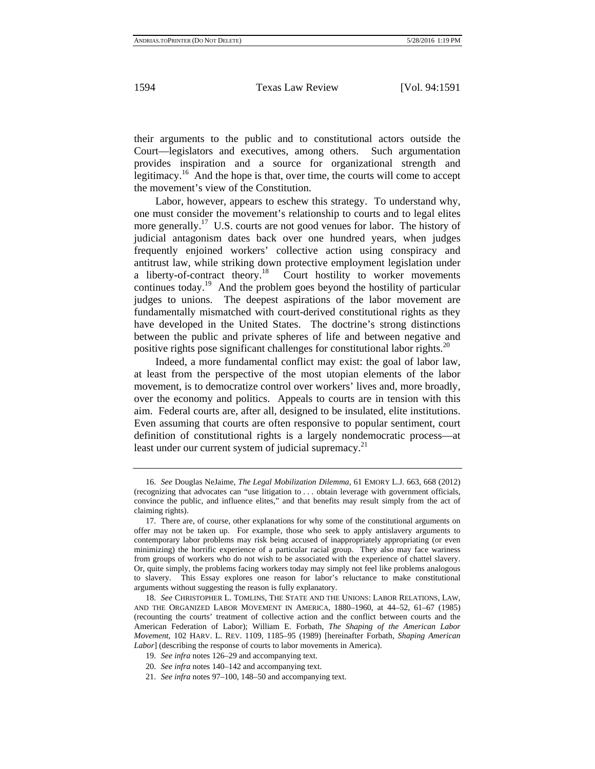their arguments to the public and to constitutional actors outside the Court—legislators and executives, among others. Such argumentation provides inspiration and a source for organizational strength and legitimacy.16 And the hope is that, over time, the courts will come to accept the movement's view of the Constitution.

Labor, however, appears to eschew this strategy. To understand why, one must consider the movement's relationship to courts and to legal elites more generally.<sup>17</sup> U.S. courts are not good venues for labor. The history of judicial antagonism dates back over one hundred years, when judges frequently enjoined workers' collective action using conspiracy and antitrust law, while striking down protective employment legislation under a liberty-of-contract theory.<sup>18</sup> Court hostility to worker movements continues today.<sup>19</sup> And the problem goes beyond the hostility of particular judges to unions. The deepest aspirations of the labor movement are fundamentally mismatched with court-derived constitutional rights as they have developed in the United States. The doctrine's strong distinctions between the public and private spheres of life and between negative and positive rights pose significant challenges for constitutional labor rights.<sup>20</sup>

Indeed, a more fundamental conflict may exist: the goal of labor law, at least from the perspective of the most utopian elements of the labor movement, is to democratize control over workers' lives and, more broadly, over the economy and politics. Appeals to courts are in tension with this aim. Federal courts are, after all, designed to be insulated, elite institutions. Even assuming that courts are often responsive to popular sentiment, court definition of constitutional rights is a largely nondemocratic process—at least under our current system of judicial supremacy.<sup>21</sup>

<sup>16.</sup> *See* Douglas NeJaime, *The Legal Mobilization Dilemma*, 61 EMORY L.J. 663, 668 (2012) (recognizing that advocates can "use litigation to . . . obtain leverage with government officials, convince the public, and influence elites," and that benefits may result simply from the act of claiming rights).

<sup>17.</sup> There are, of course, other explanations for why some of the constitutional arguments on offer may not be taken up. For example, those who seek to apply antislavery arguments to contemporary labor problems may risk being accused of inappropriately appropriating (or even minimizing) the horrific experience of a particular racial group. They also may face wariness from groups of workers who do not wish to be associated with the experience of chattel slavery. Or, quite simply, the problems facing workers today may simply not feel like problems analogous to slavery. This Essay explores one reason for labor's reluctance to make constitutional arguments without suggesting the reason is fully explanatory.

<sup>18.</sup> *See* CHRISTOPHER L. TOMLINS, THE STATE AND THE UNIONS: LABOR RELATIONS, LAW, AND THE ORGANIZED LABOR MOVEMENT IN AMERICA, 1880–1960, at 44–52, 61–67 (1985) (recounting the courts' treatment of collective action and the conflict between courts and the American Federation of Labor); William E. Forbath, *The Shaping of the American Labor Movement*, 102 HARV. L. REV. 1109, 1185–95 (1989) [hereinafter Forbath, *Shaping American Labor*] (describing the response of courts to labor movements in America).

<sup>19.</sup> *See infra* notes 126–29 and accompanying text.

<sup>20.</sup> *See infra* notes 140–142 and accompanying text.

<sup>21.</sup> *See infra* notes 97–100, 148–50 and accompanying text.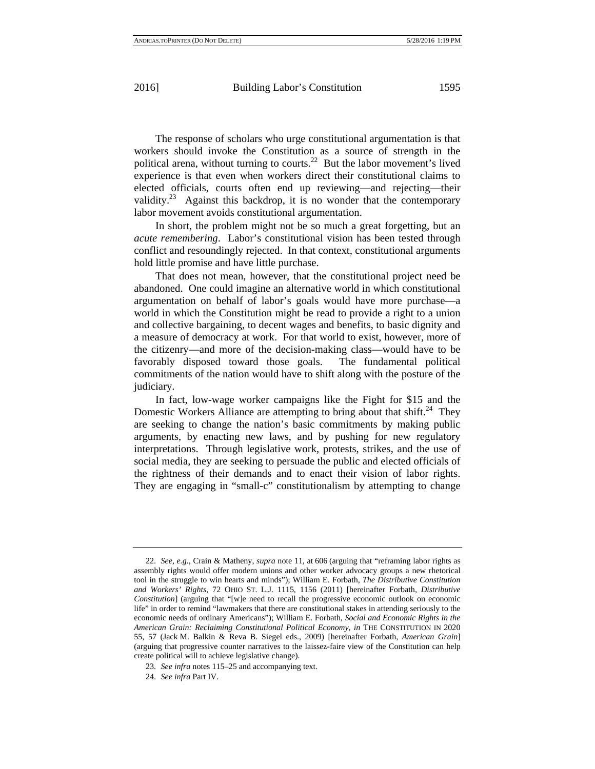The response of scholars who urge constitutional argumentation is that workers should invoke the Constitution as a source of strength in the political arena, without turning to courts.<sup>22</sup> But the labor movement's lived experience is that even when workers direct their constitutional claims to elected officials, courts often end up reviewing—and rejecting—their validity.<sup>23</sup> Against this backdrop, it is no wonder that the contemporary labor movement avoids constitutional argumentation.

In short, the problem might not be so much a great forgetting, but an *acute remembering*. Labor's constitutional vision has been tested through conflict and resoundingly rejected. In that context, constitutional arguments hold little promise and have little purchase.

That does not mean, however, that the constitutional project need be abandoned. One could imagine an alternative world in which constitutional argumentation on behalf of labor's goals would have more purchase—a world in which the Constitution might be read to provide a right to a union and collective bargaining, to decent wages and benefits, to basic dignity and a measure of democracy at work. For that world to exist, however, more of the citizenry—and more of the decision-making class—would have to be favorably disposed toward those goals. The fundamental political commitments of the nation would have to shift along with the posture of the judiciary.

In fact, low-wage worker campaigns like the Fight for \$15 and the Domestic Workers Alliance are attempting to bring about that shift.<sup>24</sup> They are seeking to change the nation's basic commitments by making public arguments, by enacting new laws, and by pushing for new regulatory interpretations. Through legislative work, protests, strikes, and the use of social media, they are seeking to persuade the public and elected officials of the rightness of their demands and to enact their vision of labor rights. They are engaging in "small-c" constitutionalism by attempting to change

<sup>22.</sup> *See, e.g.*, Crain & Matheny, *supra* note 11, at 606 (arguing that "reframing labor rights as assembly rights would offer modern unions and other worker advocacy groups a new rhetorical tool in the struggle to win hearts and minds"); William E. Forbath, *The Distributive Constitution and Workers' Rights*, 72 OHIO ST. L.J. 1115, 1156 (2011) [hereinafter Forbath, *Distributive Constitution*] (arguing that "[w]e need to recall the progressive economic outlook on economic life" in order to remind "lawmakers that there are constitutional stakes in attending seriously to the economic needs of ordinary Americans"); William E. Forbath, *Social and Economic Rights in the American Grain: Reclaiming Constitutional Political Economy*, *in* THE CONSTITUTION IN 2020 55, 57 (Jack M. Balkin & Reva B. Siegel eds., 2009) [hereinafter Forbath, *American Grain*] (arguing that progressive counter narratives to the laissez-faire view of the Constitution can help create political will to achieve legislative change).

<sup>23.</sup> *See infra* notes 115–25 and accompanying text.

<sup>24.</sup> *See infra* Part IV.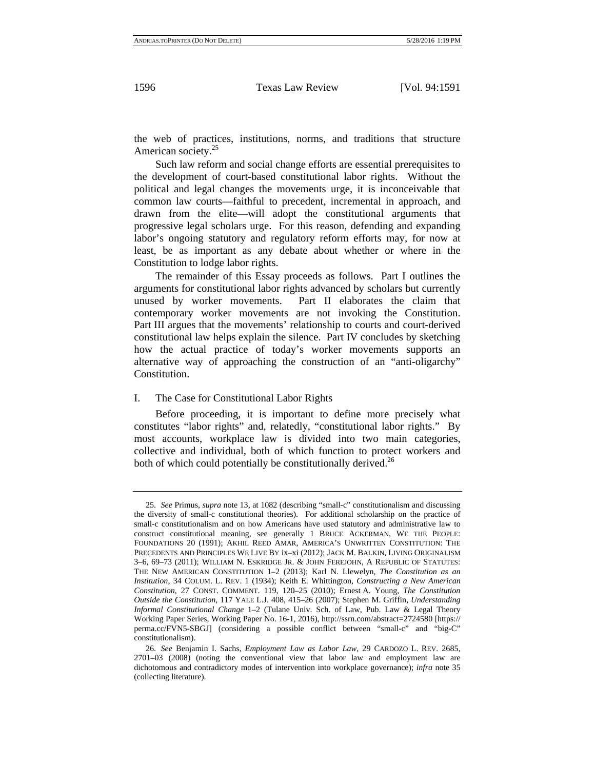the web of practices, institutions, norms, and traditions that structure American society.<sup>25</sup>

Such law reform and social change efforts are essential prerequisites to the development of court-based constitutional labor rights. Without the political and legal changes the movements urge, it is inconceivable that common law courts—faithful to precedent, incremental in approach, and drawn from the elite—will adopt the constitutional arguments that progressive legal scholars urge. For this reason, defending and expanding labor's ongoing statutory and regulatory reform efforts may, for now at least, be as important as any debate about whether or where in the Constitution to lodge labor rights.

The remainder of this Essay proceeds as follows. Part I outlines the arguments for constitutional labor rights advanced by scholars but currently unused by worker movements. Part II elaborates the claim that contemporary worker movements are not invoking the Constitution. Part III argues that the movements' relationship to courts and court-derived constitutional law helps explain the silence. Part IV concludes by sketching how the actual practice of today's worker movements supports an alternative way of approaching the construction of an "anti-oligarchy" Constitution.

#### I. The Case for Constitutional Labor Rights

Before proceeding, it is important to define more precisely what constitutes "labor rights" and, relatedly, "constitutional labor rights." By most accounts, workplace law is divided into two main categories, collective and individual, both of which function to protect workers and both of which could potentially be constitutionally derived.<sup>26</sup>

<sup>25.</sup> *See* Primus, *supra* note 13, at 1082 (describing "small-c" constitutionalism and discussing the diversity of small-c constitutional theories). For additional scholarship on the practice of small-c constitutionalism and on how Americans have used statutory and administrative law to construct constitutional meaning, see generally 1 BRUCE ACKERMAN, WE THE PEOPLE: FOUNDATIONS 20 (1991); AKHIL REED AMAR, AMERICA'S UNWRITTEN CONSTITUTION: THE PRECEDENTS AND PRINCIPLES WE LIVE BY ix–xi (2012); JACK M. BALKIN, LIVING ORIGINALISM 3–6, 69–73 (2011); WILLIAM N. ESKRIDGE JR. & JOHN FEREJOHN, A REPUBLIC OF STATUTES: THE NEW AMERICAN CONSTITUTION 1–2 (2013); Karl N. Llewelyn, *The Constitution as an Institution*, 34 COLUM. L. REV. 1 (1934); Keith E. Whittington, *Constructing a New American Constitution*, 27 CONST. COMMENT. 119, 120–25 (2010); Ernest A. Young, *The Constitution Outside the Constitution*, 117 YALE L.J. 408, 415–26 (2007); Stephen M. Griffin, *Understanding Informal Constitutional Change* 1–2 (Tulane Univ. Sch. of Law, Pub. Law & Legal Theory Working Paper Series, Working Paper No. 16-1, 2016), http://ssrn.com/abstract=2724580 [https:// perma.cc/FVN5-SBGJ] (considering a possible conflict between "small-c" and "big-C" constitutionalism).

<sup>26.</sup> *See* Benjamin I. Sachs, *Employment Law as Labor Law*, 29 CARDOZO L. REV. 2685, 2701–03 (2008) (noting the conventional view that labor law and employment law are dichotomous and contradictory modes of intervention into workplace governance); *infra* note 35 (collecting literature).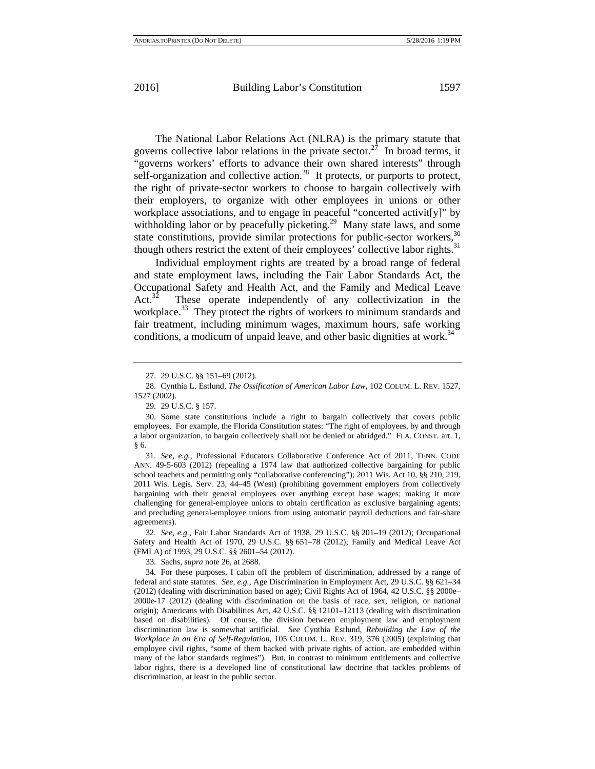The National Labor Relations Act (NLRA) is the primary statute that governs collective labor relations in the private sector.<sup>27</sup> In broad terms, it "governs workers' efforts to advance their own shared interests" through self-organization and collective action.<sup>28</sup> It protects, or purports to protect, the right of private-sector workers to choose to bargain collectively with their employers, to organize with other employees in unions or other workplace associations, and to engage in peaceful "concerted activit[y]" by withholding labor or by peacefully picketing.<sup>29</sup> Many state laws, and some state constitutions, provide similar protections for public-sector workers,  $30$ though others restrict the extent of their employees' collective labor rights.<sup>31</sup>

Individual employment rights are treated by a broad range of federal and state employment laws, including the Fair Labor Standards Act, the Occupational Safety and Health Act, and the Family and Medical Leave Act.<sup>32</sup> These operate independently of any collectivization in the These operate independently of any collectivization in the workplace.<sup>33</sup> They protect the rights of workers to minimum standards and fair treatment, including minimum wages, maximum hours, safe working conditions, a modicum of unpaid leave, and other basic dignities at work.<sup>34</sup>

31. *See, e.g.*, Professional Educators Collaborative Conference Act of 2011, TENN. CODE ANN. 49-5-603 (2012) (repealing a 1974 law that authorized collective bargaining for public school teachers and permitting only "collaborative conferencing"); 2011 Wis. Act 10, §§ 210, 219, 2011 Wis. Legis. Serv. 23, 44–45 (West) (prohibiting government employers from collectively bargaining with their general employees over anything except base wages; making it more challenging for general-employee unions to obtain certification as exclusive bargaining agents; and precluding general-employee unions from using automatic payroll deductions and fair-share agreements).

32. *See, e.g.*, Fair Labor Standards Act of 1938, 29 U.S.C. §§ 201–19 (2012); Occupational Safety and Health Act of 1970, 29 U.S.C. §§ 651–78 (2012); Family and Medical Leave Act (FMLA) of 1993, 29 U.S.C. §§ 2601–54 (2012).

33. Sachs, *supra* note 26, at 2688.

34. For these purposes, I cabin off the problem of discrimination, addressed by a range of federal and state statutes. *See, e.g.*, Age Discrimination in Employment Act, 29 U.S.C. §§ 621–34 (2012) (dealing with discrimination based on age); Civil Rights Act of 1964, 42 U.S.C. §§ 2000e– 2000e-17 (2012) (dealing with discrimination on the basis of race, sex, religion, or national origin); Americans with Disabilities Act, 42 U.S.C. §§ 12101–12113 (dealing with discrimination based on disabilities). Of course, the division between employment law and employment discrimination law is somewhat artificial. *See* Cynthia Estlund, *Rebuilding the Law of the Workplace in an Era of Self-Regulation*, 105 COLUM. L. REV. 319, 376 (2005) (explaining that employee civil rights, "some of them backed with private rights of action, are embedded within many of the labor standards regimes"). But, in contrast to minimum entitlements and collective labor rights, there is a developed line of constitutional law doctrine that tackles problems of discrimination, at least in the public sector.

<sup>27. 29</sup> U.S.C. §§ 151–69 (2012).

<sup>28.</sup> Cynthia L. Estlund, *The Ossification of American Labor Law*, 102 COLUM. L. REV. 1527, 1527 (2002).

<sup>29. 29</sup> U.S.C. § 157.

<sup>30.</sup> Some state constitutions include a right to bargain collectively that covers public employees. For example, the Florida Constitution states: "The right of employees, by and through a labor organization, to bargain collectively shall not be denied or abridged." FLA. CONST. art. 1, § 6.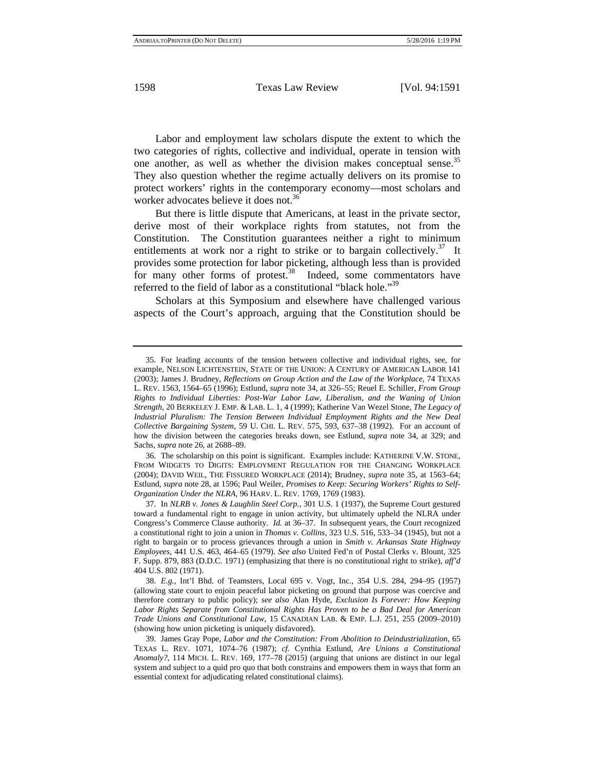Labor and employment law scholars dispute the extent to which the two categories of rights, collective and individual, operate in tension with one another, as well as whether the division makes conceptual sense.<sup>35</sup> They also question whether the regime actually delivers on its promise to protect workers' rights in the contemporary economy—most scholars and worker advocates believe it does not.<sup>36</sup>

But there is little dispute that Americans, at least in the private sector, derive most of their workplace rights from statutes, not from the Constitution. The Constitution guarantees neither a right to minimum entitlements at work nor a right to strike or to bargain collectively.<sup>37</sup> It provides some protection for labor picketing, although less than is provided for many other forms of protest.<sup>38</sup> Indeed, some commentators have referred to the field of labor as a constitutional "black hole."<sup>39</sup>

Scholars at this Symposium and elsewhere have challenged various aspects of the Court's approach, arguing that the Constitution should be

36. The scholarship on this point is significant. Examples include: KATHERINE V.W. STONE, FROM WIDGETS TO DIGITS: EMPLOYMENT REGULATION FOR THE CHANGING WORKPLACE (2004); DAVID WEIL, THE FISSURED WORKPLACE (2014); Brudney, *supra* note 35, at 1563–64; Estlund, *supra* note 28, at 1596; Paul Weiler, *Promises to Keep: Securing Workers' Rights to Self-Organization Under the NLRA*, 96 HARV. L. REV. 1769, 1769 (1983).

38. *E.g.*, Int'l Bhd. of Teamsters, Local 695 v. Vogt, Inc., 354 U.S. 284, 294–95 (1957) (allowing state court to enjoin peaceful labor picketing on ground that purpose was coercive and therefore contrary to public policy); *see also* Alan Hyde, *Exclusion Is Forever: How Keeping Labor Rights Separate from Constitutional Rights Has Proven to be a Bad Deal for American Trade Unions and Constitutional Law*, 15 CANADIAN LAB. & EMP. L.J. 251, 255 (2009–2010) (showing how union picketing is uniquely disfavored).

<sup>35.</sup> For leading accounts of the tension between collective and individual rights, see, for example, NELSON LICHTENSTEIN, STATE OF THE UNION: A CENTURY OF AMERICAN LABOR 141 (2003); James J. Brudney, *Reflections on Group Action and the Law of the Workplace*, 74 TEXAS L. REV. 1563, 1564–65 (1996); Estlund, *supra* note 34, at 326–55; Reuel E. Schiller, *From Group Rights to Individual Liberties: Post-War Labor Law, Liberalism, and the Waning of Union Strength*, 20 BERKELEY J. EMP. & LAB. L. 1, 4 (1999); Katherine Van Wezel Stone, *The Legacy of Industrial Pluralism: The Tension Between Individual Employment Rights and the New Deal Collective Bargaining System*, 59 U. CHI. L. REV. 575, 593, 637–38 (1992). For an account of how the division between the categories breaks down, see Estlund, *supra* note 34, at 329; and Sachs, *supra* note 26, at 2688–89.

<sup>37.</sup> In *NLRB v. Jones & Laughlin Steel Corp.*, 301 U.S. 1 (1937), the Supreme Court gestured toward a fundamental right to engage in union activity, but ultimately upheld the NLRA under Congress's Commerce Clause authority. *Id.* at 36–37. In subsequent years, the Court recognized a constitutional right to join a union in *Thomas v. Collins*, 323 U.S. 516, 533–34 (1945), but not a right to bargain or to process grievances through a union in *Smith v. Arkansas State Highway Employees*, 441 U.S. 463, 464–65 (1979). *See also* United Fed'n of Postal Clerks v. Blount, 325 F. Supp. 879, 883 (D.D.C. 1971) (emphasizing that there is no constitutional right to strike), *aff'd* 404 U.S. 802 (1971).

<sup>39.</sup> James Gray Pope, *Labor and the Constitution: From Abolition to Deindustrialization*, 65 TEXAS L. REV. 1071, 1074–76 (1987); *cf.* Cynthia Estlund, *Are Unions a Constitutional Anomaly?*, 114 MICH. L. REV. 169, 177–78 (2015) (arguing that unions are distinct in our legal system and subject to a quid pro quo that both constrains and empowers them in ways that form an essential context for adjudicating related constitutional claims).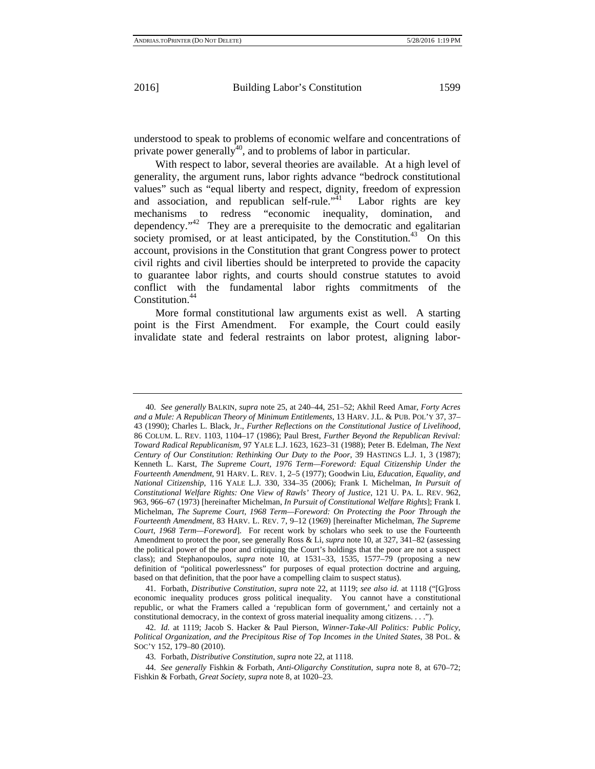understood to speak to problems of economic welfare and concentrations of private power generally $\hat{A}^0$ , and to problems of labor in particular.

With respect to labor, several theories are available. At a high level of generality, the argument runs, labor rights advance "bedrock constitutional values" such as "equal liberty and respect, dignity, freedom of expression and association, and republican self-rule."<sup>41</sup> Labor rights are key mechanisms to redress "economic inequality, domination, and dependency."42 They are a prerequisite to the democratic and egalitarian society promised, or at least anticipated, by the Constitution.<sup>43</sup> On this account, provisions in the Constitution that grant Congress power to protect civil rights and civil liberties should be interpreted to provide the capacity to guarantee labor rights, and courts should construe statutes to avoid conflict with the fundamental labor rights commitments of the Constitution.<sup>44</sup>

More formal constitutional law arguments exist as well. A starting point is the First Amendment. For example, the Court could easily invalidate state and federal restraints on labor protest, aligning labor-

<sup>40.</sup> *See generally* BALKIN, *supra* note 25, at 240–44, 251–52; Akhil Reed Amar, *Forty Acres and a Mule: A Republican Theory of Minimum Entitlements*, 13 HARV. J.L. & PUB. POL'Y 37, 37– 43 (1990); Charles L. Black, Jr., *Further Reflections on the Constitutional Justice of Livelihood*, 86 COLUM. L. REV. 1103, 1104–17 (1986); Paul Brest, *Further Beyond the Republican Revival: Toward Radical Republicanism*, 97 YALE L.J. 1623, 1623–31 (1988); Peter B. Edelman, *The Next Century of Our Constitution: Rethinking Our Duty to the Poor*, 39 HASTINGS L.J. 1, 3 (1987); Kenneth L. Karst, *The Supreme Court, 1976 Term—Foreword: Equal Citizenship Under the Fourteenth Amendment*, 91 HARV. L. REV. 1, 2–5 (1977); Goodwin Liu, *Education, Equality, and National Citizenship*, 116 YALE L.J. 330, 334–35 (2006); Frank I. Michelman, *In Pursuit of Constitutional Welfare Rights: One View of Rawls' Theory of Justice*, 121 U. PA. L. REV. 962, 963, 966–67 (1973) [hereinafter Michelman, *In Pursuit of Constitutional Welfare Rights*]; Frank I. Michelman, *The Supreme Court, 1968 Term—Foreword: On Protecting the Poor Through the Fourteenth Amendment*, 83 HARV. L. REV. 7, 9–12 (1969) [hereinafter Michelman, *The Supreme Court, 1968 Term—Foreword*]. For recent work by scholars who seek to use the Fourteenth Amendment to protect the poor, see generally Ross & Li, *supra* note 10, at 327, 341–82 (assessing the political power of the poor and critiquing the Court's holdings that the poor are not a suspect class); and Stephanopoulos, *supra* note 10, at 1531–33, 1535, 1577–79 (proposing a new definition of "political powerlessness" for purposes of equal protection doctrine and arguing, based on that definition, that the poor have a compelling claim to suspect status).

<sup>41.</sup> Forbath, *Distributive Constitution*, *supra* note 22, at 1119; *see also id.* at 1118 ("[G]ross economic inequality produces gross political inequality. You cannot have a constitutional republic, or what the Framers called a 'republican form of government,' and certainly not a constitutional democracy, in the context of gross material inequality among citizens. . . .").

<sup>42.</sup> *Id.* at 1119; Jacob S. Hacker & Paul Pierson, *Winner-Take-All Politics: Public Policy, Political Organization, and the Precipitous Rise of Top Incomes in the United States*, 38 POL. & SOC'Y 152, 179–80 (2010).

<sup>43.</sup> Forbath, *Distributive Constitution*, *supra* note 22, at 1118.

<sup>44.</sup> *See generally* Fishkin & Forbath, *Anti-Oligarchy Constitution*, *supra* note 8, at 670–72; Fishkin & Forbath, *Great Society*, *supra* note 8, at 1020–23.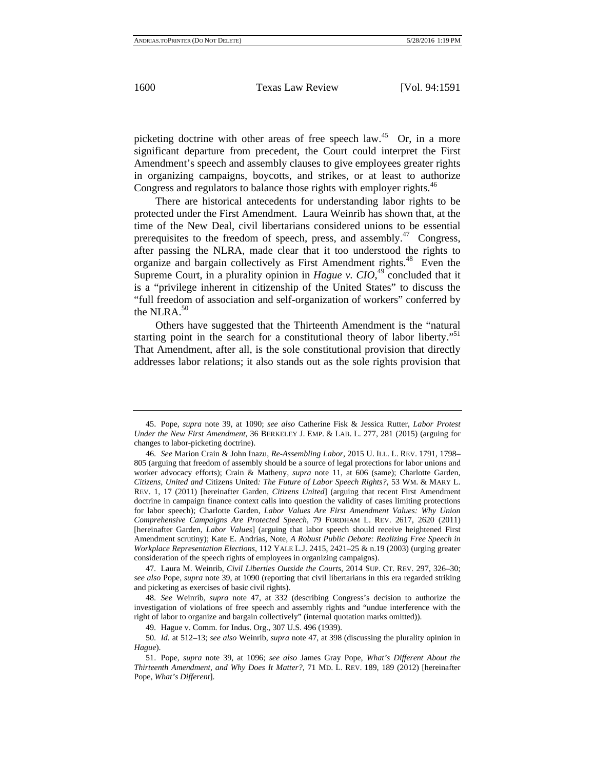picketing doctrine with other areas of free speech law.<sup>45</sup> Or, in a more significant departure from precedent, the Court could interpret the First Amendment's speech and assembly clauses to give employees greater rights in organizing campaigns, boycotts, and strikes, or at least to authorize Congress and regulators to balance those rights with employer rights.<sup>46</sup>

There are historical antecedents for understanding labor rights to be protected under the First Amendment. Laura Weinrib has shown that, at the time of the New Deal, civil libertarians considered unions to be essential prerequisites to the freedom of speech, press, and assembly.<sup>47</sup> Congress, after passing the NLRA, made clear that it too understood the rights to organize and bargain collectively as First Amendment rights.<sup>48</sup> Even the Supreme Court, in a plurality opinion in *Hague v. CIO*,<sup>49</sup> concluded that it is a "privilege inherent in citizenship of the United States" to discuss the "full freedom of association and self-organization of workers" conferred by the NLRA.<sup>50</sup>

Others have suggested that the Thirteenth Amendment is the "natural starting point in the search for a constitutional theory of labor liberty."<sup>51</sup> That Amendment, after all, is the sole constitutional provision that directly addresses labor relations; it also stands out as the sole rights provision that

47. Laura M. Weinrib, *Civil Liberties Outside the Courts*, 2014 SUP. CT. REV. 297, 326–30; *see also* Pope, *supra* note 39, at 1090 (reporting that civil libertarians in this era regarded striking and picketing as exercises of basic civil rights).

48. *See* Weinrib, *supra* note 47, at 332 (describing Congress's decision to authorize the investigation of violations of free speech and assembly rights and "undue interference with the right of labor to organize and bargain collectively" (internal quotation marks omitted)).

49. Hague v. Comm. for Indus. Org., 307 U.S. 496 (1939).

50. *Id.* at 512–13; *see also* Weinrib, *supra* note 47, at 398 (discussing the plurality opinion in *Hague*).

<sup>45.</sup> Pope, *supra* note 39, at 1090; *see also* Catherine Fisk & Jessica Rutter, *Labor Protest Under the New First Amendment*, 36 BERKELEY J. EMP. & LAB. L. 277, 281 (2015) (arguing for changes to labor-picketing doctrine).

<sup>46.</sup> *See* Marion Crain & John Inazu, *Re-Assembling Labor*, 2015 U. ILL. L. REV. 1791, 1798– 805 (arguing that freedom of assembly should be a source of legal protections for labor unions and worker advocacy efforts); Crain & Matheny, *supra* note 11, at 606 (same); Charlotte Garden, *Citizens, United and* Citizens United*: The Future of Labor Speech Rights?*, 53 WM. & MARY L. REV. 1, 17 (2011) [hereinafter Garden, *Citizens United*] (arguing that recent First Amendment doctrine in campaign finance context calls into question the validity of cases limiting protections for labor speech); Charlotte Garden, *Labor Values Are First Amendment Values: Why Union Comprehensive Campaigns Are Protected Speech*, 79 FORDHAM L. REV. 2617, 2620 (2011) [hereinafter Garden, *Labor Values*] (arguing that labor speech should receive heightened First Amendment scrutiny); Kate E. Andrias, Note, *A Robust Public Debate: Realizing Free Speech in Workplace Representation Elections*, 112 YALE L.J. 2415, 2421–25 & n.19 (2003) (urging greater consideration of the speech rights of employees in organizing campaigns).

<sup>51.</sup> Pope, *supra* note 39, at 1096; *see also* James Gray Pope, *What's Different About the Thirteenth Amendment, and Why Does It Matter?*, 71 MD. L. REV. 189, 189 (2012) [hereinafter Pope, *What's Different*].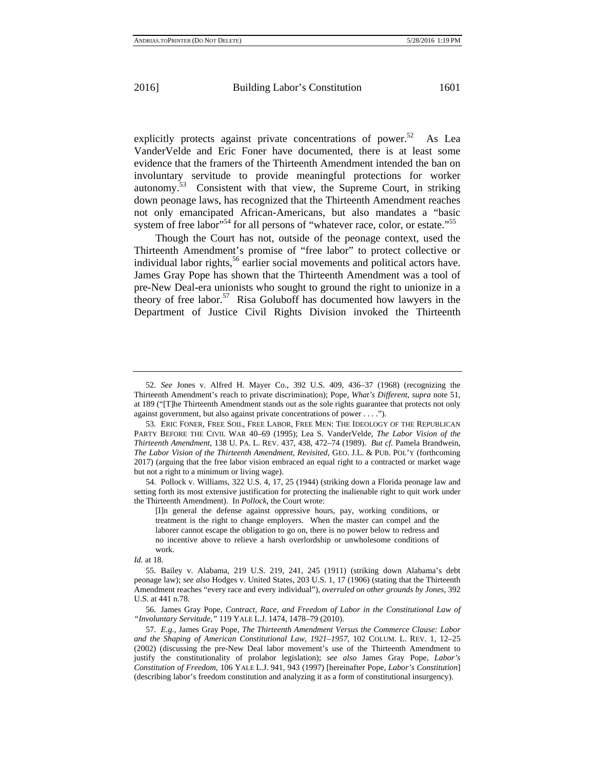explicitly protects against private concentrations of power.<sup>52</sup> As Lea VanderVelde and Eric Foner have documented, there is at least some evidence that the framers of the Thirteenth Amendment intended the ban on involuntary servitude to provide meaningful protections for worker autonomy.53 Consistent with that view, the Supreme Court, in striking down peonage laws, has recognized that the Thirteenth Amendment reaches not only emancipated African-Americans, but also mandates a "basic system of free labor"<sup>54</sup> for all persons of "whatever race, color, or estate."<sup>55</sup>

Though the Court has not, outside of the peonage context, used the Thirteenth Amendment's promise of "free labor" to protect collective or individual labor rights,<sup>56</sup> earlier social movements and political actors have. James Gray Pope has shown that the Thirteenth Amendment was a tool of pre-New Deal-era unionists who sought to ground the right to unionize in a theory of free labor. $57$  Risa Goluboff has documented how lawyers in the Department of Justice Civil Rights Division invoked the Thirteenth

54. Pollock v. Williams, 322 U.S. 4, 17, 25 (1944) (striking down a Florida peonage law and setting forth its most extensive justification for protecting the inalienable right to quit work under the Thirteenth Amendment). In *Pollock*, the Court wrote:

<sup>52.</sup> *See* Jones v. Alfred H. Mayer Co., 392 U.S. 409, 436–37 (1968) (recognizing the Thirteenth Amendment's reach to private discrimination); Pope, *What's Different*, *supra* note 51, at 189 ("[T]he Thirteenth Amendment stands out as the sole rights guarantee that protects not only against government, but also against private concentrations of power . . . .").

<sup>53.</sup> ERIC FONER, FREE SOIL, FREE LABOR, FREE MEN: THE IDEOLOGY OF THE REPUBLICAN PARTY BEFORE THE CIVIL WAR 40–69 (1995); Lea S. VanderVelde, *The Labor Vision of the Thirteenth Amendment*, 138 U. PA. L. REV. 437, 438, 472–74 (1989). *But cf.* Pamela Brandwein, *The Labor Vision of the Thirteenth Amendment, Revisited*, GEO. J.L. & PUB. POL'Y (forthcoming 2017) (arguing that the free labor vision embraced an equal right to a contracted or market wage but not a right to a minimum or living wage).

<sup>[</sup>I]n general the defense against oppressive hours, pay, working conditions, or treatment is the right to change employers. When the master can compel and the laborer cannot escape the obligation to go on, there is no power below to redress and no incentive above to relieve a harsh overlordship or unwholesome conditions of work.

*Id.* at 18.

<sup>55.</sup> Bailey v. Alabama, 219 U.S. 219, 241, 245 (1911) (striking down Alabama's debt peonage law); *see also* Hodges v. United States, 203 U.S. 1, 17 (1906) (stating that the Thirteenth Amendment reaches "every race and every individual"), *overruled on other grounds by Jones*, 392 U.S. at 441 n.78.

<sup>56.</sup> James Gray Pope, *Contract, Race, and Freedom of Labor in the Constitutional Law of "Involuntary Servitude*,*"* 119 YALE L.J. 1474, 1478–79 (2010).

<sup>57.</sup> *E.g.*, James Gray Pope, *The Thirteenth Amendment Versus the Commerce Clause: Labor and the Shaping of American Constitutional Law, 1921–1957*, 102 COLUM. L. REV. 1, 12–25 (2002) (discussing the pre-New Deal labor movement's use of the Thirteenth Amendment to justify the constitutionality of prolabor legislation); *see also* James Gray Pope, *Labor's Constitution of Freedom*, 106 YALE L.J. 941, 943 (1997) [hereinafter Pope, *Labor's Constitution*] (describing labor's freedom constitution and analyzing it as a form of constitutional insurgency).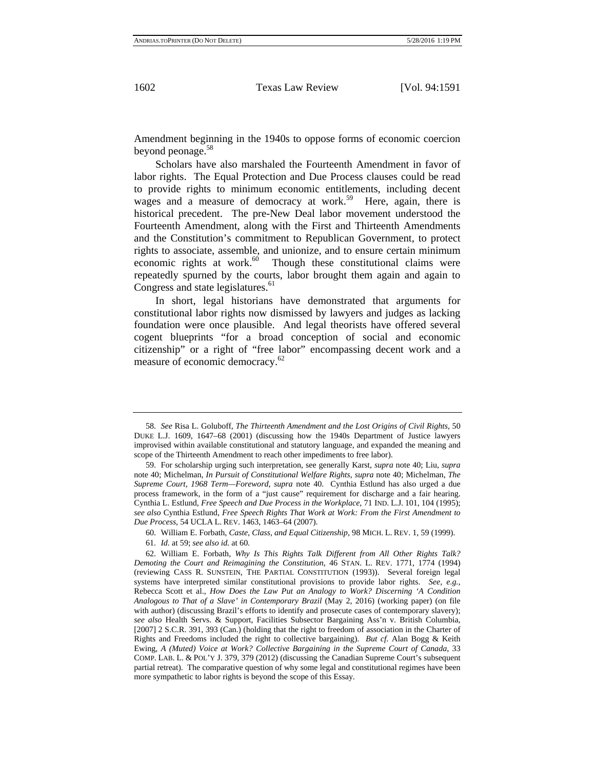Amendment beginning in the 1940s to oppose forms of economic coercion beyond peonage.<sup>58</sup>

Scholars have also marshaled the Fourteenth Amendment in favor of labor rights. The Equal Protection and Due Process clauses could be read to provide rights to minimum economic entitlements, including decent wages and a measure of democracy at work.<sup>59</sup> Here, again, there is historical precedent. The pre-New Deal labor movement understood the Fourteenth Amendment, along with the First and Thirteenth Amendments and the Constitution's commitment to Republican Government, to protect rights to associate, assemble, and unionize, and to ensure certain minimum economic rights at work.<sup>60</sup> Though these constitutional claims were repeatedly spurned by the courts, labor brought them again and again to Congress and state legislatures. $61$ 

In short, legal historians have demonstrated that arguments for constitutional labor rights now dismissed by lawyers and judges as lacking foundation were once plausible. And legal theorists have offered several cogent blueprints "for a broad conception of social and economic citizenship" or a right of "free labor" encompassing decent work and a measure of economic democracy.<sup>62</sup>

<sup>58.</sup> *See* Risa L. Goluboff, *The Thirteenth Amendment and the Lost Origins of Civil Rights*, 50 DUKE L.J. 1609, 1647–68 (2001) (discussing how the 1940s Department of Justice lawyers improvised within available constitutional and statutory language, and expanded the meaning and scope of the Thirteenth Amendment to reach other impediments to free labor).

<sup>59.</sup> For scholarship urging such interpretation, see generally Karst, *supra* note 40; Liu, *supra*  note 40; Michelman, *In Pursuit of Constitutional Welfare Rights*, *supra* note 40; Michelman, *The Supreme Court, 1968 Term—Foreword*, *supra* note 40. Cynthia Estlund has also urged a due process framework, in the form of a "just cause" requirement for discharge and a fair hearing. Cynthia L. Estlund, *Free Speech and Due Process in the Workplace*, 71 IND. L.J. 101, 104 (1995); *see also* Cynthia Estlund, *Free Speech Rights That Work at Work: From the First Amendment to Due Process*, 54 UCLA L. REV. 1463, 1463–64 (2007).

<sup>60.</sup> William E. Forbath, *Caste, Class, and Equal Citizenship*, 98 MICH. L. REV. 1, 59 (1999).

<sup>61.</sup> *Id.* at 59; *see also id.* at 60.

<sup>62.</sup> William E. Forbath, *Why Is This Rights Talk Different from All Other Rights Talk? Demoting the Court and Reimagining the Constitution*, 46 STAN. L. REV. 1771, 1774 (1994) (reviewing CASS R. SUNSTEIN, THE PARTIAL CONSTITUTION (1993)). Several foreign legal systems have interpreted similar constitutional provisions to provide labor rights. *See, e.g.*, Rebecca Scott et al., *How Does the Law Put an Analogy to Work? Discerning 'A Condition Analogous to That of a Slave' in Contemporary Brazil* (May 2, 2016) (working paper) (on file with author) (discussing Brazil's efforts to identify and prosecute cases of contemporary slavery); *see also* Health Servs. & Support, Facilities Subsector Bargaining Ass'n v. British Columbia, [2007] 2 S.C.R. 391, 393 (Can.) (holding that the right to freedom of association in the Charter of Rights and Freedoms included the right to collective bargaining). *But cf.* Alan Bogg & Keith Ewing, *A (Muted) Voice at Work? Collective Bargaining in the Supreme Court of Canada*, 33 COMP. LAB. L. & POL'Y J. 379, 379 (2012) (discussing the Canadian Supreme Court's subsequent partial retreat). The comparative question of why some legal and constitutional regimes have been more sympathetic to labor rights is beyond the scope of this Essay.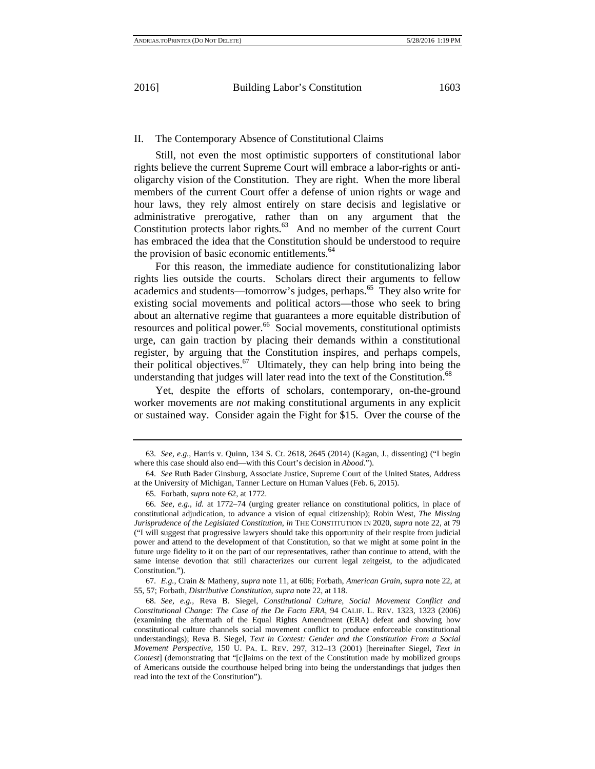#### II. The Contemporary Absence of Constitutional Claims

Still, not even the most optimistic supporters of constitutional labor rights believe the current Supreme Court will embrace a labor-rights or antioligarchy vision of the Constitution. They are right. When the more liberal members of the current Court offer a defense of union rights or wage and hour laws, they rely almost entirely on stare decisis and legislative or administrative prerogative, rather than on any argument that the Constitution protects labor rights.<sup>63</sup> And no member of the current Court has embraced the idea that the Constitution should be understood to require the provision of basic economic entitlements.<sup>64</sup>

For this reason, the immediate audience for constitutionalizing labor rights lies outside the courts. Scholars direct their arguments to fellow academics and students—tomorrow's judges, perhaps.65 They also write for existing social movements and political actors—those who seek to bring about an alternative regime that guarantees a more equitable distribution of resources and political power.<sup>66</sup> Social movements, constitutional optimists urge, can gain traction by placing their demands within a constitutional register, by arguing that the Constitution inspires, and perhaps compels, their political objectives.<sup>67</sup> Ultimately, they can help bring into being the understanding that judges will later read into the text of the Constitution.<sup>68</sup>

Yet, despite the efforts of scholars, contemporary, on-the-ground worker movements are *not* making constitutional arguments in any explicit or sustained way. Consider again the Fight for \$15. Over the course of the

67. *E.g.*, Crain & Matheny, *supra* note 11, at 606; Forbath, *American Grain*, *supra* note 22, at 55, 57; Forbath, *Distributive Constitution*, *supra* note 22, at 118.

<sup>63.</sup> *See, e.g.*, Harris v. Quinn, 134 S. Ct. 2618, 2645 (2014) (Kagan, J., dissenting) ("I begin where this case should also end—with this Court's decision in *Abood*.").

<sup>64.</sup> *See* Ruth Bader Ginsburg, Associate Justice, Supreme Court of the United States, Address at the University of Michigan, Tanner Lecture on Human Values (Feb. 6, 2015).

<sup>65.</sup> Forbath, *supra* note 62, at 1772.

<sup>66.</sup> *See, e.g.*, *id.* at 1772–74 (urging greater reliance on constitutional politics, in place of constitutional adjudication, to advance a vision of equal citizenship); Robin West, *The Missing Jurisprudence of the Legislated Constitution*, *in* THE CONSTITUTION IN 2020, *supra* note 22, at 79 ("I will suggest that progressive lawyers should take this opportunity of their respite from judicial power and attend to the development of that Constitution, so that we might at some point in the future urge fidelity to it on the part of our representatives, rather than continue to attend, with the same intense devotion that still characterizes our current legal zeitgeist, to the adjudicated Constitution.").

<sup>68.</sup> *See, e.g.*, Reva B. Siegel, *Constitutional Culture, Social Movement Conflict and Constitutional Change: The Case of the De Facto ERA*, 94 CALIF. L. REV. 1323, 1323 (2006) (examining the aftermath of the Equal Rights Amendment (ERA) defeat and showing how constitutional culture channels social movement conflict to produce enforceable constitutional understandings); Reva B. Siegel, *Text in Contest: Gender and the Constitution From a Social Movement Perspective*, 150 U. PA. L. REV. 297, 312–13 (2001) [hereinafter Siegel, *Text in Contest*] (demonstrating that "[c]laims on the text of the Constitution made by mobilized groups of Americans outside the courthouse helped bring into being the understandings that judges then read into the text of the Constitution").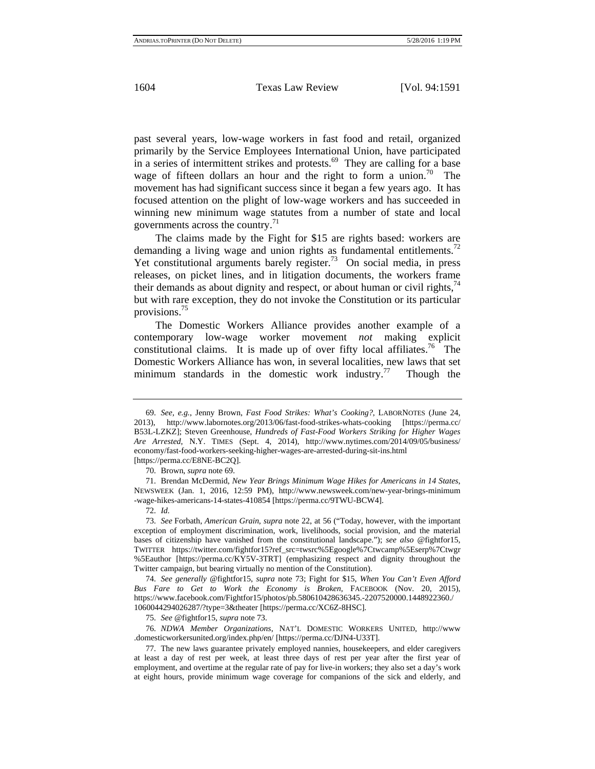past several years, low-wage workers in fast food and retail, organized primarily by the Service Employees International Union, have participated in a series of intermittent strikes and protests.<sup>69</sup> They are calling for a base wage of fifteen dollars an hour and the right to form a union.<sup>70</sup> The movement has had significant success since it began a few years ago. It has focused attention on the plight of low-wage workers and has succeeded in winning new minimum wage statutes from a number of state and local governments across the country.<sup>71</sup>

The claims made by the Fight for \$15 are rights based: workers are demanding a living wage and union rights as fundamental entitlements.<sup>72</sup> Yet constitutional arguments barely register.<sup>73</sup> On social media, in press releases, on picket lines, and in litigation documents, the workers frame their demands as about dignity and respect, or about human or civil rights, $\frac{7}{4}$ but with rare exception, they do not invoke the Constitution or its particular provisions.75

The Domestic Workers Alliance provides another example of a contemporary low-wage worker movement *not* making explicit constitutional claims. It is made up of over fifty local affiliates.<sup>76</sup> The Domestic Workers Alliance has won, in several localities, new laws that set minimum standards in the domestic work industry.<sup>77</sup> Though the

74. *See generally* @fightfor15, *supra* note 73; Fight for \$15, *When You Can't Even Afford Bus Fare to Get to Work the Economy is Broken,* FACEBOOK (Nov. 20, 2015), https://www.facebook.com/Fightfor15/photos/pb.580610428636345.-2207520000.1448922360./ 1060044294026287/?type=3&theater [https://perma.cc/XC6Z-8HSC].

75. *See* @fightfor15, *supra* note 73.

76. *NDWA Member Organizations*, NAT'L DOMESTIC WORKERS UNITED, http://www .domesticworkersunited.org/index.php/en/ [https://perma.cc/DJN4-U33T].

<sup>69.</sup> *See, e.g.*, Jenny Brown, *Fast Food Strikes: What's Cooking?*, LABORNOTES (June 24, 2013), http://www.labornotes.org/2013/06/fast-food-strikes-whats-cooking [https://perma.cc/ B53L-LZKZ]; Steven Greenhouse, *Hundreds of Fast-Food Workers Striking for Higher Wages Are Arrested*, N.Y. TIMES (Sept. 4, 2014), http://www.nytimes.com/2014/09/05/business/ economy/fast-food-workers-seeking-higher-wages-are-arrested-during-sit-ins.html [https://perma.cc/E8NE-BC2Q].

<sup>70.</sup> Brown, *supra* note 69.

<sup>71.</sup> Brendan McDermid, *New Year Brings Minimum Wage Hikes for Americans in 14 States*, NEWSWEEK (Jan. 1, 2016, 12:59 PM), http://www.newsweek.com/new-year-brings-minimum -wage-hikes-americans-14-states-410854 [https://perma.cc/9TWU-BCW4].

<sup>72.</sup> *Id.*

<sup>73.</sup> *See* Forbath, *American Grain*, *supra* note 22, at 56 ("Today, however, with the important exception of employment discrimination, work, livelihoods, social provision, and the material bases of citizenship have vanished from the constitutional landscape."); *see also* @fightfor15, TWITTER https://twitter.com/fightfor15?ref\_src=twsrc%5Egoogle%7Ctwcamp%5Eserp%7Ctwgr %5Eauthor [https://perma.cc/KY5V-3TRT] (emphasizing respect and dignity throughout the Twitter campaign, but bearing virtually no mention of the Constitution).

<sup>77.</sup> The new laws guarantee privately employed nannies, housekeepers, and elder caregivers at least a day of rest per week, at least three days of rest per year after the first year of employment, and overtime at the regular rate of pay for live-in workers; they also set a day's work at eight hours, provide minimum wage coverage for companions of the sick and elderly, and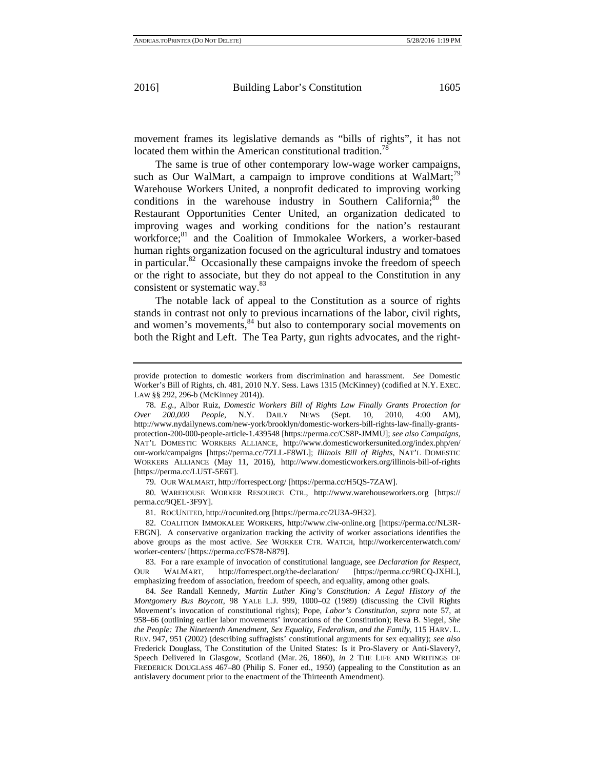movement frames its legislative demands as "bills of rights", it has not located them within the American constitutional tradition.<sup>78</sup>

The same is true of other contemporary low-wage worker campaigns, such as Our WalMart, a campaign to improve conditions at WalMart;<sup>79</sup> Warehouse Workers United, a nonprofit dedicated to improving working conditions in the warehouse industry in Southern California; $80$  the Restaurant Opportunities Center United, an organization dedicated to improving wages and working conditions for the nation's restaurant workforce;<sup>81</sup> and the Coalition of Immokalee Workers, a worker-based human rights organization focused on the agricultural industry and tomatoes in particular.<sup>82</sup> Occasionally these campaigns invoke the freedom of speech or the right to associate, but they do not appeal to the Constitution in any consistent or systematic way.83

The notable lack of appeal to the Constitution as a source of rights stands in contrast not only to previous incarnations of the labor, civil rights, and women's movements,<sup>84</sup> but also to contemporary social movements on both the Right and Left. The Tea Party, gun rights advocates, and the right-

80. WAREHOUSE WORKER RESOURCE CTR., http://www.warehouseworkers.org [https:// perma.cc/9QEL-3F9Y].

81. ROCUNITED, http://rocunited.org [https://perma.cc/2U3A-9H32].

82. COALITION IMMOKALEE WORKERS, http://www.ciw-online.org [https://perma.cc/NL3R-EBGN]. A conservative organization tracking the activity of worker associations identifies the above groups as the most active. *See* WORKER CTR. WATCH, http://workercenterwatch.com/ worker-centers/ [https://perma.cc/FS78-N879].

83. For a rare example of invocation of constitutional language, see *Declaration for Respect*, OUR WALMART, http://forrespect.org/the-declaration/ [https://perma.cc/9RCQ-JXHL], emphasizing freedom of association, freedom of speech, and equality, among other goals.

84. *See* Randall Kennedy, *Martin Luther King's Constitution: A Legal History of the Montgomery Bus Boycott*, 98 YALE L.J. 999, 1000–02 (1989) (discussing the Civil Rights Movement's invocation of constitutional rights); Pope, *Labor's Constitution*, *supra* note 57, at 958–66 (outlining earlier labor movements' invocations of the Constitution); Reva B. Siegel, *She the People: The Nineteenth Amendment, Sex Equality, Federalism, and the Family*, 115 HARV. L. REV. 947, 951 (2002) (describing suffragists' constitutional arguments for sex equality); *see also* Frederick Douglass, The Constitution of the United States: Is it Pro-Slavery or Anti-Slavery?, Speech Delivered in Glasgow, Scotland (Mar. 26, 1860), *in* 2 THE LIFE AND WRITINGS OF FREDERICK DOUGLASS 467–80 (Philip S. Foner ed., 1950) (appealing to the Constitution as an antislavery document prior to the enactment of the Thirteenth Amendment).

provide protection to domestic workers from discrimination and harassment. *See* Domestic Worker's Bill of Rights, ch. 481, 2010 N.Y. Sess. Laws 1315 (McKinney) (codified at N.Y. EXEC. LAW §§ 292, 296-b (McKinney 2014)).

<sup>78.</sup> *E.g.*, Albor Ruiz, *Domestic Workers Bill of Rights Law Finally Grants Protection for Over 200,000 People*, N.Y. DAILY NEWS (Sept. 10, 2010, 4:00 AM), http://www.nydailynews.com/new-york/brooklyn/domestic-workers-bill-rights-law-finally-grantsprotection-200-000-people-article-1.439548 [https://perma.cc/CS8P-JMMU]; *see also Campaigns*, NAT'L DOMESTIC WORKERS ALLIANCE, http://www.domesticworkersunited.org/index.php/en/ our-work/campaigns [https://perma.cc/7ZLL-F8WL]; *Illinois Bill of Rights*, NAT'L DOMESTIC WORKERS ALLIANCE (May 11, 2016), http://www.domesticworkers.org/illinois-bill-of-rights [https://perma.cc/LU5T-5E6T].

<sup>79.</sup> OUR WALMART, http://forrespect.org/ [https://perma.cc/H5QS-7ZAW].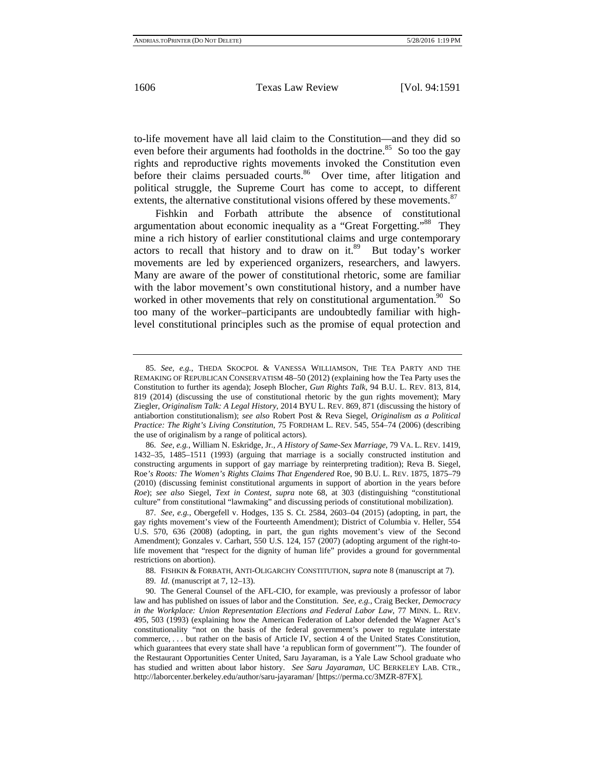to-life movement have all laid claim to the Constitution—and they did so even before their arguments had footholds in the doctrine.<sup>85</sup> So too the gay rights and reproductive rights movements invoked the Constitution even before their claims persuaded courts.<sup>86</sup> Over time, after litigation and political struggle, the Supreme Court has come to accept, to different extents, the alternative constitutional visions offered by these movements. $87$ 

Fishkin and Forbath attribute the absence of constitutional argumentation about economic inequality as a "Great Forgetting."88 They mine a rich history of earlier constitutional claims and urge contemporary actors to recall that history and to draw on it.<sup>89</sup> But today's worker movements are led by experienced organizers, researchers, and lawyers. Many are aware of the power of constitutional rhetoric, some are familiar with the labor movement's own constitutional history, and a number have worked in other movements that rely on constitutional argumentation.<sup>90</sup> So too many of the worker–participants are undoubtedly familiar with highlevel constitutional principles such as the promise of equal protection and

88. FISHKIN & FORBATH, ANTI-OLIGARCHY CONSTITUTION, s*upra* note 8 (manuscript at 7).

89. *Id.* (manuscript at 7, 12–13).

<sup>85.</sup> *See, e.g.*, THEDA SKOCPOL & VANESSA WILLIAMSON, THE TEA PARTY AND THE REMAKING OF REPUBLICAN CONSERVATISM 48–50 (2012) (explaining how the Tea Party uses the Constitution to further its agenda); Joseph Blocher, *Gun Rights Talk*, 94 B.U. L. REV. 813, 814, 819 (2014) (discussing the use of constitutional rhetoric by the gun rights movement); Mary Ziegler, *Originalism Talk: A Legal History*, 2014 BYU L. REV. 869, 871 (discussing the history of antiabortion constitutionalism); *see also* Robert Post & Reva Siegel, *Originalism as a Political Practice: The Right's Living Constitution*, 75 FORDHAM L. REV. 545, 554–74 (2006) (describing the use of originalism by a range of political actors).

<sup>86.</sup> *See, e.g.*, William N. Eskridge, Jr., *A History of Same-Sex Marriage*, 79 VA. L. REV. 1419, 1432–35, 1485–1511 (1993) (arguing that marriage is a socially constructed institution and constructing arguments in support of gay marriage by reinterpreting tradition); Reva B. Siegel, Roe*'s Roots: The Women's Rights Claims That Engendered* Roe, 90 B.U. L. REV. 1875, 1875–79 (2010) (discussing feminist constitutional arguments in support of abortion in the years before *Roe*); *see also* Siegel, *Text in Contest*, *supra* note 68, at 303 (distinguishing "constitutional culture" from constitutional "lawmaking" and discussing periods of constitutional mobilization).

<sup>87.</sup> *See, e.g.*, Obergefell v. Hodges, 135 S. Ct. 2584, 2603–04 (2015) (adopting, in part, the gay rights movement's view of the Fourteenth Amendment); District of Columbia v. Heller, 554 U.S. 570, 636 (2008) (adopting, in part, the gun rights movement's view of the Second Amendment); Gonzales v. Carhart, 550 U.S. 124, 157 (2007) (adopting argument of the right-tolife movement that "respect for the dignity of human life" provides a ground for governmental restrictions on abortion).

<sup>90.</sup> The General Counsel of the AFL-CIO, for example, was previously a professor of labor law and has published on issues of labor and the Constitution. *See, e.g.*, Craig Becker, *Democracy in the Workplace: Union Representation Elections and Federal Labor Law*, 77 MINN. L. REV. 495, 503 (1993) (explaining how the American Federation of Labor defended the Wagner Act's constitutionality "not on the basis of the federal government's power to regulate interstate commerce, . . . but rather on the basis of Article IV, section 4 of the United States Constitution, which guarantees that every state shall have 'a republican form of government'"). The founder of the Restaurant Opportunities Center United, Saru Jayaraman, is a Yale Law School graduate who has studied and written about labor history. *See Saru Jayaraman*, UC BERKELEY LAB. CTR., http://laborcenter.berkeley.edu/author/saru-jayaraman/ [https://perma.cc/3MZR-87FX].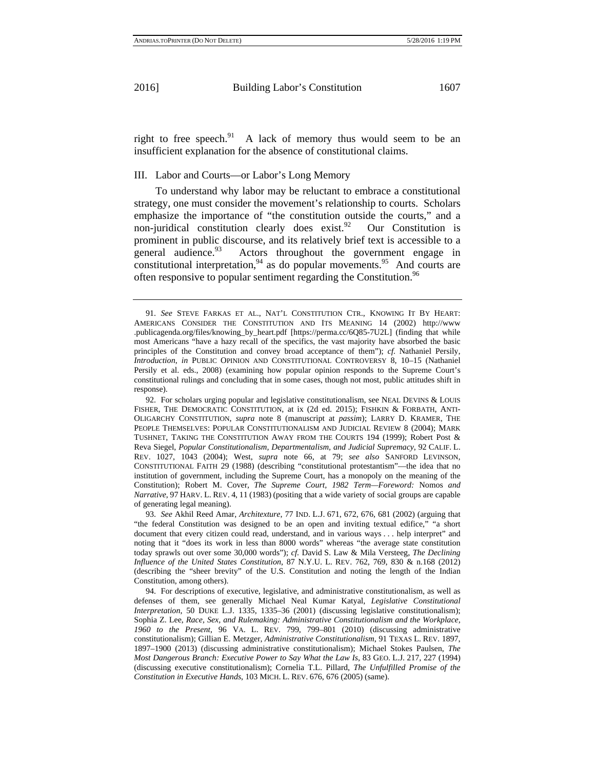right to free speech. $91$  A lack of memory thus would seem to be an insufficient explanation for the absence of constitutional claims.

III. Labor and Courts—or Labor's Long Memory

To understand why labor may be reluctant to embrace a constitutional strategy, one must consider the movement's relationship to courts. Scholars emphasize the importance of "the constitution outside the courts," and a non-juridical constitution clearly does exist.<sup>92</sup> Our Constitution is prominent in public discourse, and its relatively brief text is accessible to a general audience.<sup>93</sup> Actors throughout the government engage in constitutional interpretation,  $94$  as do popular movements.  $95$  And courts are often responsive to popular sentiment regarding the Constitution.<sup>96</sup>

<sup>91.</sup> *See* STEVE FARKAS ET AL., NAT'L CONSTITUTION CTR., KNOWING IT BY HEART: AMERICANS CONSIDER THE CONSTITUTION AND ITS MEANING 14 (2002) http://www .publicagenda.org/files/knowing\_by\_heart.pdf [https://perma.cc/6Q85-7U2L] (finding that while most Americans "have a hazy recall of the specifics, the vast majority have absorbed the basic principles of the Constitution and convey broad acceptance of them"); *cf.* Nathaniel Persily, *Introduction*, *in* PUBLIC OPINION AND CONSTITUTIONAL CONTROVERSY 8, 10–15 (Nathaniel Persily et al. eds., 2008) (examining how popular opinion responds to the Supreme Court's constitutional rulings and concluding that in some cases, though not most, public attitudes shift in response).

<sup>92.</sup> For scholars urging popular and legislative constitutionalism, see NEAL DEVINS & LOUIS FISHER, THE DEMOCRATIC CONSTITUTION, at ix (2d ed. 2015); FISHKIN & FORBATH, ANTI-OLIGARCHY CONSTITUTION, *supra* note 8 (manuscript at *passim*); LARRY D. KRAMER, THE PEOPLE THEMSELVES: POPULAR CONSTITUTIONALISM AND JUDICIAL REVIEW 8 (2004); MARK TUSHNET, TAKING THE CONSTITUTION AWAY FROM THE COURTS 194 (1999); Robert Post & Reva Siegel, *Popular Constitutionalism, Departmentalism, and Judicial Supremacy*, 92 CALIF. L. REV. 1027, 1043 (2004); West, *supra* note 66, at 79; *see also* SANFORD LEVINSON, CONSTITUTIONAL FAITH 29 (1988) (describing "constitutional protestantism"—the idea that no institution of government, including the Supreme Court, has a monopoly on the meaning of the Constitution); Robert M. Cover, *The Supreme Court, 1982 Term—Foreword:* Nomos *and Narrative*, 97 HARV. L. REV. 4, 11 (1983) (positing that a wide variety of social groups are capable of generating legal meaning).

<sup>93.</sup> *See* Akhil Reed Amar, *Architexture*, 77 IND. L.J. 671, 672, 676, 681 (2002) (arguing that "the federal Constitution was designed to be an open and inviting textual edifice," "a short document that every citizen could read, understand, and in various ways . . . help interpret" and noting that it "does its work in less than 8000 words" whereas "the average state constitution today sprawls out over some 30,000 words"); *cf.* David S. Law & Mila Versteeg, *The Declining Influence of the United States Constitution*, 87 N.Y.U. L. REV. 762, 769, 830 & n.168 (2012) (describing the "sheer brevity" of the U.S. Constitution and noting the length of the Indian Constitution, among others).

<sup>94.</sup> For descriptions of executive, legislative, and administrative constitutionalism, as well as defenses of them, see generally Michael Neal Kumar Katyal, *Legislative Constitutional Interpretation*, 50 DUKE L.J. 1335, 1335–36 (2001) (discussing legislative constitutionalism); Sophia Z. Lee, *Race, Sex, and Rulemaking: Administrative Constitutionalism and the Workplace, 1960 to the Present*, 96 VA. L. REV. 799, 799–801 (2010) (discussing administrative constitutionalism); Gillian E. Metzger, *Administrative Constitutionalism*, 91 TEXAS L. REV. 1897, 1897–1900 (2013) (discussing administrative constitutionalism); Michael Stokes Paulsen, *The Most Dangerous Branch: Executive Power to Say What the Law Is*, 83 GEO. L.J. 217, 227 (1994) (discussing executive constitutionalism); Cornelia T.L. Pillard, *The Unfulfilled Promise of the Constitution in Executive Hands*, 103 MICH. L. REV. 676, 676 (2005) (same).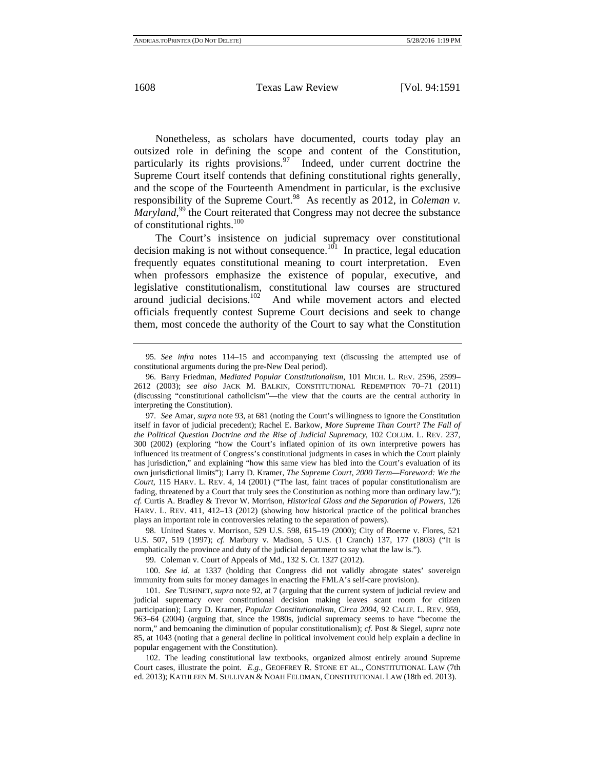Nonetheless, as scholars have documented, courts today play an outsized role in defining the scope and content of the Constitution, particularly its rights provisions. $97$  Indeed, under current doctrine the Supreme Court itself contends that defining constitutional rights generally, and the scope of the Fourteenth Amendment in particular, is the exclusive responsibility of the Supreme Court.<sup>98</sup> As recently as 2012, in *Coleman v*. Maryland,<sup>99</sup> the Court reiterated that Congress may not decree the substance of constitutional rights.<sup>100</sup>

The Court's insistence on judicial supremacy over constitutional decision making is not without consequence.<sup>101</sup> In practice, legal education frequently equates constitutional meaning to court interpretation. Even when professors emphasize the existence of popular, executive, and legislative constitutionalism, constitutional law courses are structured around judicial decisions.<sup>102</sup> And while movement actors and elected officials frequently contest Supreme Court decisions and seek to change them, most concede the authority of the Court to say what the Constitution

100. *See id.* at 1337 (holding that Congress did not validly abrogate states' sovereign immunity from suits for money damages in enacting the FMLA's self-care provision).

101. *See* TUSHNET, *supra* note 92, at 7 (arguing that the current system of judicial review and judicial supremacy over constitutional decision making leaves scant room for citizen participation); Larry D. Kramer, *Popular Constitutionalism, Circa 2004*, 92 CALIF. L. REV. 959, 963–64 (2004) (arguing that, since the 1980s, judicial supremacy seems to have "become the norm," and bemoaning the diminution of popular constitutionalism); *cf.* Post & Siegel, *supra* note 85, at 1043 (noting that a general decline in political involvement could help explain a decline in popular engagement with the Constitution).

102. The leading constitutional law textbooks, organized almost entirely around Supreme Court cases, illustrate the point. *E.g.*, GEOFFREY R. STONE ET AL., CONSTITUTIONAL LAW (7th ed. 2013); KATHLEEN M. SULLIVAN & NOAH FELDMAN, CONSTITUTIONAL LAW (18th ed. 2013).

<sup>95.</sup> *See infra* notes 114–15 and accompanying text (discussing the attempted use of constitutional arguments during the pre-New Deal period).

<sup>96.</sup> Barry Friedman, *Mediated Popular Constitutionalism*, 101 MICH. L. REV. 2596, 2599– 2612 (2003); *see also* JACK M. BALKIN, CONSTITUTIONAL REDEMPTION 70–71 (2011) (discussing "constitutional catholicism"—the view that the courts are the central authority in interpreting the Constitution).

<sup>97.</sup> *See* Amar, *supra* note 93, at 681 (noting the Court's willingness to ignore the Constitution itself in favor of judicial precedent); Rachel E. Barkow, *More Supreme Than Court? The Fall of the Political Question Doctrine and the Rise of Judicial Supremacy*, 102 COLUM. L. REV. 237, 300 (2002) (exploring "how the Court's inflated opinion of its own interpretive powers has influenced its treatment of Congress's constitutional judgments in cases in which the Court plainly has jurisdiction," and explaining "how this same view has bled into the Court's evaluation of its own jurisdictional limits"); Larry D. Kramer, *The Supreme Court, 2000 Term—Foreword: We the Court*, 115 HARV. L. REV. 4, 14 (2001) ("The last, faint traces of popular constitutionalism are fading, threatened by a Court that truly sees the Constitution as nothing more than ordinary law."); *cf.* Curtis A. Bradley & Trevor W. Morrison, *Historical Gloss and the Separation of Powers*, 126 HARV. L. REV. 411, 412–13 (2012) (showing how historical practice of the political branches plays an important role in controversies relating to the separation of powers).

<sup>98.</sup> United States v. Morrison, 529 U.S. 598, 615–19 (2000); City of Boerne v. Flores, 521 U.S. 507, 519 (1997); *cf.* Marbury v. Madison, 5 U.S. (1 Cranch) 137, 177 (1803) ("It is emphatically the province and duty of the judicial department to say what the law is.").

<sup>99.</sup> Coleman v. Court of Appeals of Md., 132 S. Ct. 1327 (2012).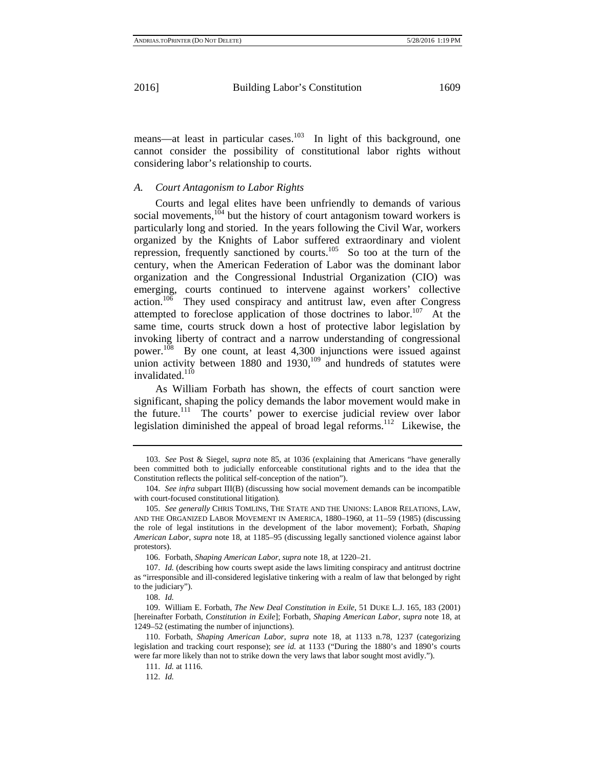means—at least in particular cases.<sup>103</sup> In light of this background, one cannot consider the possibility of constitutional labor rights without considering labor's relationship to courts.

#### *A. Court Antagonism to Labor Rights*

Courts and legal elites have been unfriendly to demands of various social movements, $104$  but the history of court antagonism toward workers is particularly long and storied. In the years following the Civil War, workers organized by the Knights of Labor suffered extraordinary and violent repression, frequently sanctioned by courts.<sup>105</sup> So too at the turn of the century, when the American Federation of Labor was the dominant labor organization and the Congressional Industrial Organization (CIO) was emerging, courts continued to intervene against workers' collective  $\arctan$ <sup>106</sup> They used conspiracy and antitrust law, even after Congress attempted to foreclose application of those doctrines to labor.<sup>107</sup> At the same time, courts struck down a host of protective labor legislation by invoking liberty of contract and a narrow understanding of congressional power.<sup>108</sup> By one count, at least 4,300 injunctions were issued against union activity between  $1880$  and  $1930$ ,  $109$  and hundreds of statutes were invalidated. $110$ 

As William Forbath has shown, the effects of court sanction were significant, shaping the policy demands the labor movement would make in the future.<sup>111</sup> The courts' power to exercise judicial review over labor legislation diminished the appeal of broad legal reforms.<sup>112</sup> Likewise, the

108. *Id.*

<sup>103.</sup> *See* Post & Siegel, *supra* note 85, at 1036 (explaining that Americans "have generally been committed both to judicially enforceable constitutional rights and to the idea that the Constitution reflects the political self-conception of the nation").

<sup>104.</sup> *See infra* subpart III(B) (discussing how social movement demands can be incompatible with court-focused constitutional litigation)*.*

<sup>105.</sup> *See generally* CHRIS TOMLINS, THE STATE AND THE UNIONS: LABOR RELATIONS, LAW, AND THE ORGANIZED LABOR MOVEMENT IN AMERICA, 1880–1960, at 11–59 (1985) (discussing the role of legal institutions in the development of the labor movement); Forbath, *Shaping American Labor*, *supra* note 18, at 1185–95 (discussing legally sanctioned violence against labor protestors).

<sup>106.</sup> Forbath, *Shaping American Labor*, *supra* note 18, at 1220–21.

<sup>107.</sup> *Id.* (describing how courts swept aside the laws limiting conspiracy and antitrust doctrine as "irresponsible and ill-considered legislative tinkering with a realm of law that belonged by right to the judiciary").

<sup>109.</sup> William E. Forbath, *The New Deal Constitution in Exile*, 51 DUKE L.J. 165, 183 (2001) [hereinafter Forbath, *Constitution in Exile*]; Forbath, *Shaping American Labor*, *supra* note 18, at 1249–52 (estimating the number of injunctions).

<sup>110.</sup> Forbath, *Shaping American Labor*, *supra* note 18, at 1133 n.78, 1237 (categorizing legislation and tracking court response); *see id.* at 1133 ("During the 1880's and 1890's courts were far more likely than not to strike down the very laws that labor sought most avidly.").

<sup>111.</sup> *Id.* at 1116.

<sup>112.</sup> *Id.*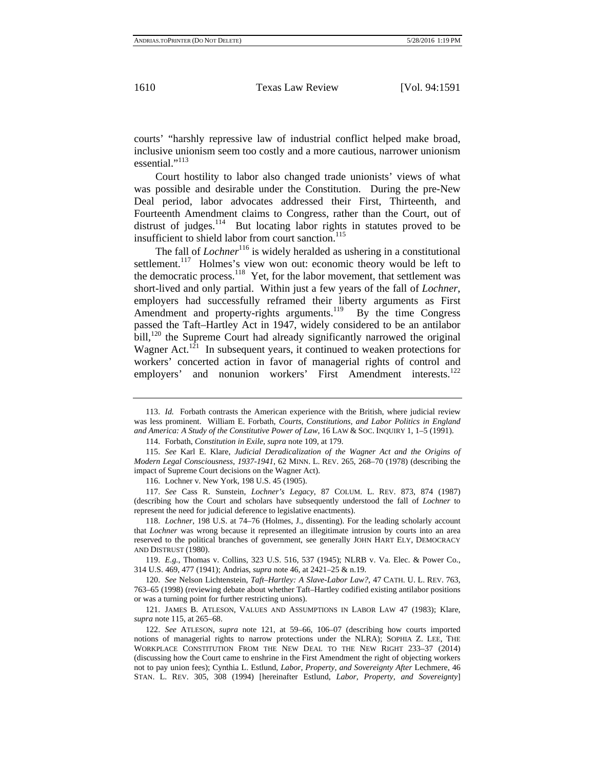courts' "harshly repressive law of industrial conflict helped make broad, inclusive unionism seem too costly and a more cautious, narrower unionism essential."<sup>113</sup>

Court hostility to labor also changed trade unionists' views of what was possible and desirable under the Constitution. During the pre-New Deal period, labor advocates addressed their First, Thirteenth, and Fourteenth Amendment claims to Congress, rather than the Court, out of distrust of judges. $114$  But locating labor rights in statutes proved to be insufficient to shield labor from court sanction.<sup>115</sup>

The fall of *Lochner*<sup>116</sup> is widely heralded as ushering in a constitutional settlement.<sup>117</sup> Holmes's view won out: economic theory would be left to the democratic process. $118$  Yet, for the labor movement, that settlement was short-lived and only partial. Within just a few years of the fall of *Lochner*, employers had successfully reframed their liberty arguments as First Amendment and property-rights arguments.<sup>119</sup> By the time Congress passed the Taft–Hartley Act in 1947, widely considered to be an antilabor bill, $120$  the Supreme Court had already significantly narrowed the original Wagner Act.<sup>121</sup> In subsequent years, it continued to weaken protections for workers' concerted action in favor of managerial rights of control and employers' and nonunion workers' First Amendment interests.<sup>122</sup>

119. *E.g.*, Thomas v. Collins, 323 U.S. 516, 537 (1945); NLRB v. Va. Elec. & Power Co., 314 U.S. 469, 477 (1941); Andrias, *supra* note 46, at 2421–25 & n.19.

120. *See* Nelson Lichtenstein, *Taft–Hartley: A Slave-Labor Law?*, 47 CATH. U. L. REV. 763, 763–65 (1998) (reviewing debate about whether Taft–Hartley codified existing antilabor positions or was a turning point for further restricting unions).

121. JAMES B. ATLESON, VALUES AND ASSUMPTIONS IN LABOR LAW 47 (1983); Klare, *supra* note 115, at 265–68.

122. *See* ATLESON, *supra* note 121, at 59–66, 106–07 (describing how courts imported notions of managerial rights to narrow protections under the NLRA); SOPHIA Z. LEE, THE WORKPLACE CONSTITUTION FROM THE NEW DEAL TO THE NEW RIGHT 233–37 (2014) (discussing how the Court came to enshrine in the First Amendment the right of objecting workers not to pay union fees); Cynthia L. Estlund, *Labor, Property, and Sovereignty After* Lechmere, 46 STAN. L. REV. 305, 308 (1994) [hereinafter Estlund, *Labor, Property, and Sovereignty*]

<sup>113.</sup> *Id.* Forbath contrasts the American experience with the British, where judicial review was less prominent. William E. Forbath, *Courts, Constitutions, and Labor Politics in England and America: A Study of the Constitutive Power of Law*, 16 LAW & SOC. INQUIRY 1, 1–5 (1991).

<sup>114.</sup> Forbath, *Constitution in Exile*, *supra* note 109, at 179.

<sup>115.</sup> *See* Karl E. Klare, *Judicial Deradicalization of the Wagner Act and the Origins of Modern Legal Consciousness, 1937-1941*, 62 MINN. L. REV. 265, 268–70 (1978) (describing the impact of Supreme Court decisions on the Wagner Act).

<sup>116.</sup> Lochner v. New York, 198 U.S. 45 (1905).

<sup>117.</sup> *See* Cass R. Sunstein, *Lochner's Legacy*, 87 COLUM. L. REV. 873, 874 (1987) (describing how the Court and scholars have subsequently understood the fall of *Lochner* to represent the need for judicial deference to legislative enactments).

<sup>118.</sup> *Lochner*, 198 U.S. at 74–76 (Holmes, J., dissenting). For the leading scholarly account that *Lochner* was wrong because it represented an illegitimate intrusion by courts into an area reserved to the political branches of government, see generally JOHN HART ELY, DEMOCRACY AND DISTRUST (1980).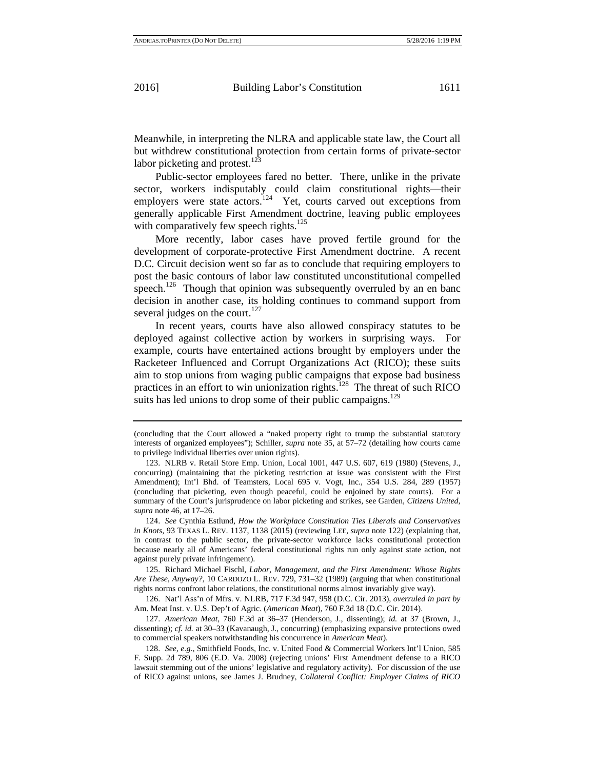Meanwhile, in interpreting the NLRA and applicable state law, the Court all but withdrew constitutional protection from certain forms of private-sector labor picketing and protest. $123$ 

Public-sector employees fared no better. There, unlike in the private sector, workers indisputably could claim constitutional rights—their employers were state actors.<sup>124</sup> Yet, courts carved out exceptions from generally applicable First Amendment doctrine, leaving public employees with comparatively few speech rights. $125$ 

More recently, labor cases have proved fertile ground for the development of corporate-protective First Amendment doctrine. A recent D.C. Circuit decision went so far as to conclude that requiring employers to post the basic contours of labor law constituted unconstitutional compelled speech.<sup>126</sup> Though that opinion was subsequently overruled by an en banc decision in another case, its holding continues to command support from several judges on the court. $127$ 

In recent years, courts have also allowed conspiracy statutes to be deployed against collective action by workers in surprising ways. For example, courts have entertained actions brought by employers under the Racketeer Influenced and Corrupt Organizations Act (RICO); these suits aim to stop unions from waging public campaigns that expose bad business practices in an effort to win unionization rights.128 The threat of such RICO suits has led unions to drop some of their public campaigns.<sup>129</sup>

<sup>(</sup>concluding that the Court allowed a "naked property right to trump the substantial statutory interests of organized employees"); Schiller, *supra* note 35, at 57–72 (detailing how courts came to privilege individual liberties over union rights).

<sup>123.</sup> NLRB v. Retail Store Emp. Union, Local 1001, 447 U.S. 607, 619 (1980) (Stevens, J., concurring) (maintaining that the picketing restriction at issue was consistent with the First Amendment); Int'l Bhd. of Teamsters, Local 695 v. Vogt, Inc., 354 U.S. 284, 289 (1957) (concluding that picketing, even though peaceful, could be enjoined by state courts). For a summary of the Court's jurisprudence on labor picketing and strikes, see Garden, *Citizens United*, *supra* note 46, at 17–26.

<sup>124.</sup> *See* Cynthia Estlund, *How the Workplace Constitution Ties Liberals and Conservatives in Knots*, 93 TEXAS L. REV. 1137, 1138 (2015) (reviewing LEE, *supra* note 122) (explaining that, in contrast to the public sector, the private-sector workforce lacks constitutional protection because nearly all of Americans' federal constitutional rights run only against state action, not against purely private infringement).

<sup>125.</sup> Richard Michael Fischl, *Labor, Management, and the First Amendment: Whose Rights Are These, Anyway?*, 10 CARDOZO L. REV. 729, 731–32 (1989) (arguing that when constitutional rights norms confront labor relations, the constitutional norms almost invariably give way).

<sup>126.</sup> Nat'l Ass'n of Mfrs. v. NLRB, 717 F.3d 947, 958 (D.C. Cir. 2013), *overruled in part by* Am. Meat Inst. v. U.S. Dep't of Agric. (*American Meat*), 760 F.3d 18 (D.C. Cir. 2014).

<sup>127.</sup> *American Meat*, 760 F.3d at 36–37 (Henderson, J., dissenting); *id.* at 37 (Brown, J., dissenting); *cf. id.* at 30–33 (Kavanaugh, J., concurring) (emphasizing expansive protections owed to commercial speakers notwithstanding his concurrence in *American Meat*).

<sup>128.</sup> *See, e.g.*, Smithfield Foods, Inc. v. United Food & Commercial Workers Int'l Union, 585 F. Supp. 2d 789, 806 (E.D. Va. 2008) (rejecting unions' First Amendment defense to a RICO lawsuit stemming out of the unions' legislative and regulatory activity).For discussion of the use of RICO against unions, see James J. Brudney, *Collateral Conflict: Employer Claims of RICO*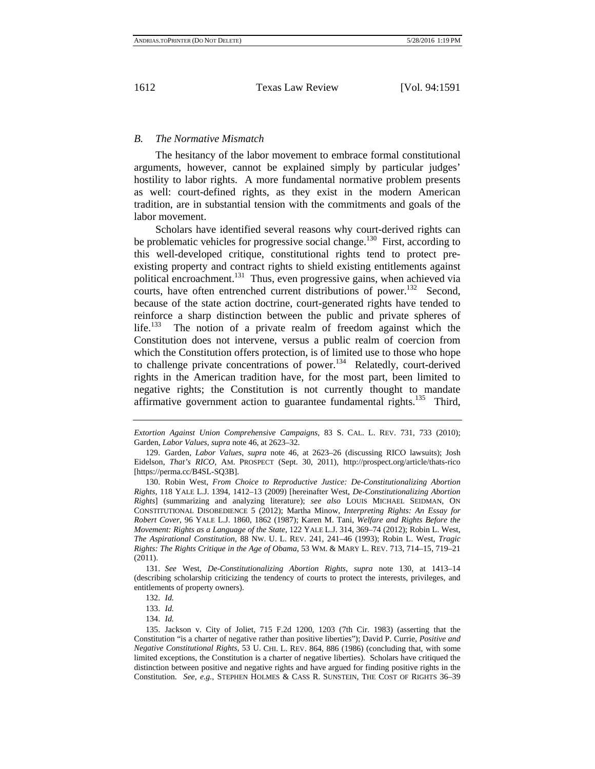#### *B. The Normative Mismatch*

The hesitancy of the labor movement to embrace formal constitutional arguments, however, cannot be explained simply by particular judges' hostility to labor rights. A more fundamental normative problem presents as well: court-defined rights, as they exist in the modern American tradition, are in substantial tension with the commitments and goals of the labor movement.

Scholars have identified several reasons why court-derived rights can be problematic vehicles for progressive social change.<sup>130</sup> First, according to this well-developed critique, constitutional rights tend to protect preexisting property and contract rights to shield existing entitlements against political encroachment.<sup>131</sup> Thus, even progressive gains, when achieved via courts, have often entrenched current distributions of power.<sup>132</sup> Second, because of the state action doctrine, court-generated rights have tended to reinforce a sharp distinction between the public and private spheres of life.<sup>133</sup> The notion of a private realm of freedom against which the Constitution does not intervene, versus a public realm of coercion from which the Constitution offers protection, is of limited use to those who hope to challenge private concentrations of power.<sup>134</sup> Relatedly, court-derived rights in the American tradition have, for the most part, been limited to negative rights; the Constitution is not currently thought to mandate affirmative government action to guarantee fundamental rights.<sup>135</sup> Third,

131. *See* West, *De-Constitutionalizing Abortion Rights*, *supra* note 130, at 1413–14 (describing scholarship criticizing the tendency of courts to protect the interests, privileges, and entitlements of property owners).

*Extortion Against Union Comprehensive Campaigns*, 83 S. CAL. L. REV. 731, 733 (2010); Garden, *Labor Values*, *supra* note 46, at 2623–32.

<sup>129.</sup> Garden, *Labor Values*, *supra* note 46, at 2623–26 (discussing RICO lawsuits); Josh Eidelson, *That's RICO*, AM. PROSPECT (Sept. 30, 2011), http://prospect.org/article/thats-rico [https://perma.cc/B4SL-SQ3B].

<sup>130.</sup> Robin West, *From Choice to Reproductive Justice: De-Constitutionalizing Abortion Rights*, 118 YALE L.J. 1394, 1412–13 (2009) [hereinafter West, *De-Constitutionalizing Abortion Rights*] (summarizing and analyzing literature); *see also* LOUIS MICHAEL SEIDMAN, ON CONSTITUTIONAL DISOBEDIENCE 5 (2012); Martha Minow, *Interpreting Rights: An Essay for Robert Cover*, 96 YALE L.J. 1860, 1862 (1987); Karen M. Tani, *Welfare and Rights Before the Movement: Rights as a Language of the State*, 122 YALE L.J. 314, 369–74 (2012); Robin L. West, *The Aspirational Constitution*, 88 NW. U. L. REV. 241, 241–46 (1993); Robin L. West, *Tragic Rights: The Rights Critique in the Age of Obama*, 53 WM. & MARY L. REV. 713, 714–15, 719–21 (2011).

<sup>132.</sup> *Id.*

<sup>133.</sup> *Id.*

<sup>134.</sup> *Id.*

<sup>135.</sup> Jackson v. City of Joliet, 715 F.2d 1200, 1203 (7th Cir. 1983) (asserting that the Constitution "is a charter of negative rather than positive liberties"); David P. Currie, *Positive and Negative Constitutional Rights*, 53 U. CHI. L. REV. 864, 886 (1986) (concluding that, with some limited exceptions, the Constitution is a charter of negative liberties). Scholars have critiqued the distinction between positive and negative rights and have argued for finding positive rights in the Constitution. *See, e.g.*, STEPHEN HOLMES & CASS R. SUNSTEIN, THE COST OF RIGHTS 36–39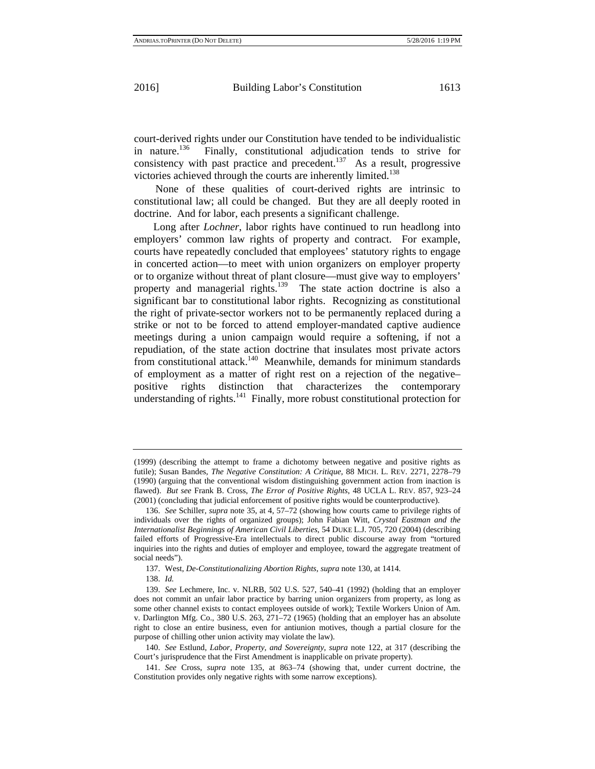court-derived rights under our Constitution have tended to be individualistic<br>in nature.<sup>136</sup> Finally, constitutional adjudication tends to strive for Finally, constitutional adjudication tends to strive for consistency with past practice and precedent.<sup>137</sup> As a result, progressive victories achieved through the courts are inherently limited.<sup>138</sup>

None of these qualities of court-derived rights are intrinsic to constitutional law; all could be changed. But they are all deeply rooted in doctrine. And for labor, each presents a significant challenge.

 Long after *Lochner*, labor rights have continued to run headlong into employers' common law rights of property and contract. For example, courts have repeatedly concluded that employees' statutory rights to engage in concerted action—to meet with union organizers on employer property or to organize without threat of plant closure—must give way to employers' property and managerial rights.<sup>139</sup> The state action doctrine is also a significant bar to constitutional labor rights. Recognizing as constitutional the right of private-sector workers not to be permanently replaced during a strike or not to be forced to attend employer-mandated captive audience meetings during a union campaign would require a softening, if not a repudiation, of the state action doctrine that insulates most private actors from constitutional attack.140 Meanwhile, demands for minimum standards of employment as a matter of right rest on a rejection of the negative– positive rights distinction that characterizes the contemporary understanding of rights. $141$  Finally, more robust constitutional protection for

<sup>(1999)</sup> (describing the attempt to frame a dichotomy between negative and positive rights as futile); Susan Bandes, *The Negative Constitution: A Critique*, 88 MICH. L. REV. 2271, 2278–79 (1990) (arguing that the conventional wisdom distinguishing government action from inaction is flawed). *But see* Frank B. Cross, *The Error of Positive Rights*, 48 UCLA L. REV. 857, 923–24 (2001) (concluding that judicial enforcement of positive rights would be counterproductive).

<sup>136.</sup> *See* Schiller, *supra* note 35, at 4, 57–72 (showing how courts came to privilege rights of individuals over the rights of organized groups); John Fabian Witt, *Crystal Eastman and the Internationalist Beginnings of American Civil Liberties*, 54 DUKE L.J. 705, 720 (2004) (describing failed efforts of Progressive-Era intellectuals to direct public discourse away from "tortured inquiries into the rights and duties of employer and employee, toward the aggregate treatment of social needs").

<sup>137.</sup> West, *De-Constitutionalizing Abortion Rights*, *supra* note 130, at 1414.

<sup>138.</sup> *Id.*

<sup>139.</sup> *See* Lechmere, Inc. v. NLRB, 502 U.S. 527, 540–41 (1992) (holding that an employer does not commit an unfair labor practice by barring union organizers from property, as long as some other channel exists to contact employees outside of work); Textile Workers Union of Am. v. Darlington Mfg. Co., 380 U.S. 263, 271–72 (1965) (holding that an employer has an absolute right to close an entire business, even for antiunion motives, though a partial closure for the purpose of chilling other union activity may violate the law).

<sup>140.</sup> *See* Estlund, *Labor, Property, and Sovereignty*, *supra* note 122, at 317 (describing the Court's jurisprudence that the First Amendment is inapplicable on private property).

<sup>141.</sup> *See* Cross, *supra* note 135, at 863–74 (showing that, under current doctrine, the Constitution provides only negative rights with some narrow exceptions).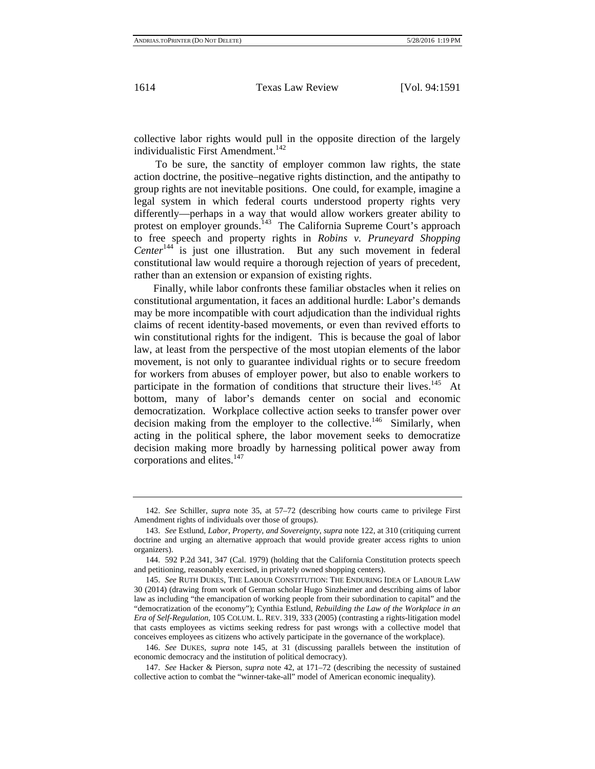collective labor rights would pull in the opposite direction of the largely individualistic First Amendment.<sup>142</sup>

To be sure, the sanctity of employer common law rights, the state action doctrine, the positive–negative rights distinction, and the antipathy to group rights are not inevitable positions. One could, for example, imagine a legal system in which federal courts understood property rights very differently—perhaps in a way that would allow workers greater ability to protest on employer grounds.<sup>143</sup> The California Supreme Court's approach to free speech and property rights in *Robins v. Pruneyard Shopping Center*<sup>144</sup> is just one illustration. But any such movement in federal constitutional law would require a thorough rejection of years of precedent, rather than an extension or expansion of existing rights.

 Finally, while labor confronts these familiar obstacles when it relies on constitutional argumentation, it faces an additional hurdle: Labor's demands may be more incompatible with court adjudication than the individual rights claims of recent identity-based movements, or even than revived efforts to win constitutional rights for the indigent. This is because the goal of labor law, at least from the perspective of the most utopian elements of the labor movement, is not only to guarantee individual rights or to secure freedom for workers from abuses of employer power, but also to enable workers to participate in the formation of conditions that structure their lives.<sup>145</sup> At bottom, many of labor's demands center on social and economic democratization. Workplace collective action seeks to transfer power over decision making from the employer to the collective.<sup>146</sup> Similarly, when acting in the political sphere, the labor movement seeks to democratize decision making more broadly by harnessing political power away from corporations and elites.<sup>147</sup>

<sup>142.</sup> *See* Schiller, *supra* note 35, at 57–72 (describing how courts came to privilege First Amendment rights of individuals over those of groups).

<sup>143.</sup> *See* Estlund, *Labor, Property, and Sovereignty*, *supra* note 122, at 310 (critiquing current doctrine and urging an alternative approach that would provide greater access rights to union organizers).

<sup>144. 592</sup> P.2d 341, 347 (Cal. 1979) (holding that the California Constitution protects speech and petitioning, reasonably exercised, in privately owned shopping centers).

<sup>145.</sup> *See* RUTH DUKES, THE LABOUR CONSTITUTION: THE ENDURING IDEA OF LABOUR LAW 30 (2014) (drawing from work of German scholar Hugo Sinzheimer and describing aims of labor law as including "the emancipation of working people from their subordination to capital" and the "democratization of the economy"); Cynthia Estlund, *Rebuilding the Law of the Workplace in an Era of Self-Regulation*, 105 COLUM. L. REV. 319, 333 (2005) (contrasting a rights-litigation model that casts employees as victims seeking redress for past wrongs with a collective model that conceives employees as citizens who actively participate in the governance of the workplace).

<sup>146.</sup> *See* DUKES, *supra* note 145, at 31 (discussing parallels between the institution of economic democracy and the institution of political democracy).

<sup>147.</sup> *See* Hacker & Pierson, *supra* note 42, at 171–72 (describing the necessity of sustained collective action to combat the "winner-take-all" model of American economic inequality).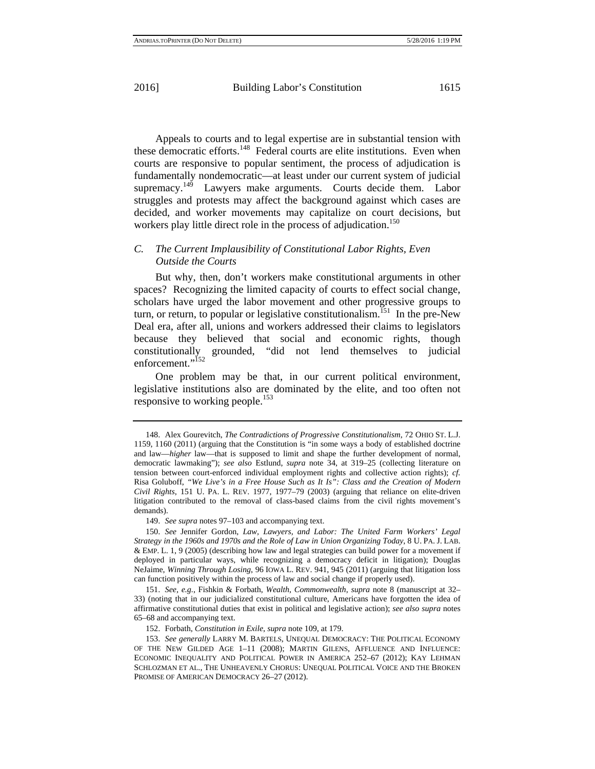Appeals to courts and to legal expertise are in substantial tension with these democratic efforts.<sup>148</sup> Federal courts are elite institutions. Even when courts are responsive to popular sentiment, the process of adjudication is fundamentally nondemocratic—at least under our current system of judicial supremacy.<sup>149</sup> Lawyers make arguments. Courts decide them. Labor struggles and protests may affect the background against which cases are decided, and worker movements may capitalize on court decisions, but workers play little direct role in the process of adjudication.<sup>150</sup>

#### *C. The Current Implausibility of Constitutional Labor Rights, Even Outside the Courts*

But why, then, don't workers make constitutional arguments in other spaces? Recognizing the limited capacity of courts to effect social change, scholars have urged the labor movement and other progressive groups to turn, or return, to popular or legislative constitutionalism.<sup>151</sup> In the pre-New Deal era, after all, unions and workers addressed their claims to legislators because they believed that social and economic rights, though constitutionally grounded, "did not lend themselves to judicial enforcement."<sup>152</sup>

One problem may be that, in our current political environment, legislative institutions also are dominated by the elite, and too often not responsive to working people.<sup>153</sup>

149. *See supra* notes 97–103 and accompanying text.

<sup>148.</sup> Alex Gourevitch, *The Contradictions of Progressive Constitutionalism*, 72 OHIO ST. L.J. 1159, 1160 (2011) (arguing that the Constitution is "in some ways a body of established doctrine and law—*higher* law—that is supposed to limit and shape the further development of normal, democratic lawmaking"); *see also* Estlund, *supra* note 34, at 319–25 (collecting literature on tension between court-enforced individual employment rights and collective action rights); *cf.*  Risa Goluboff, *"We Live's in a Free House Such as It Is": Class and the Creation of Modern Civil Rights*, 151 U. PA. L. REV. 1977, 1977–79 (2003) (arguing that reliance on elite-driven litigation contributed to the removal of class-based claims from the civil rights movement's demands).

<sup>150.</sup> *See* Jennifer Gordon, *Law, Lawyers, and Labor: The United Farm Workers' Legal Strategy in the 1960s and 1970s and the Role of Law in Union Organizing Today*, 8 U. PA. J. LAB. & EMP. L. 1, 9 (2005) (describing how law and legal strategies can build power for a movement if deployed in particular ways, while recognizing a democracy deficit in litigation); Douglas NeJaime, *Winning Through Losing*, 96 IOWA L. REV. 941, 945 (2011) (arguing that litigation loss can function positively within the process of law and social change if properly used).

<sup>151.</sup> *See, e.g.*, Fishkin & Forbath, *Wealth, Commonwealth*, *supra* note 8 (manuscript at 32– 33) (noting that in our judicialized constitutional culture, Americans have forgotten the idea of affirmative constitutional duties that exist in political and legislative action); *see also supra* notes 65–68 and accompanying text.

<sup>152.</sup> Forbath, *Constitution in Exile*, *supra* note 109, at 179.

<sup>153.</sup> *See generally* LARRY M. BARTELS, UNEQUAL DEMOCRACY: THE POLITICAL ECONOMY OF THE NEW GILDED AGE 1–11 (2008); MARTIN GILENS, AFFLUENCE AND INFLUENCE: ECONOMIC INEQUALITY AND POLITICAL POWER IN AMERICA 252–67 (2012); KAY LEHMAN SCHLOZMAN ET AL., THE UNHEAVENLY CHORUS: UNEQUAL POLITICAL VOICE AND THE BROKEN PROMISE OF AMERICAN DEMOCRACY 26–27 (2012).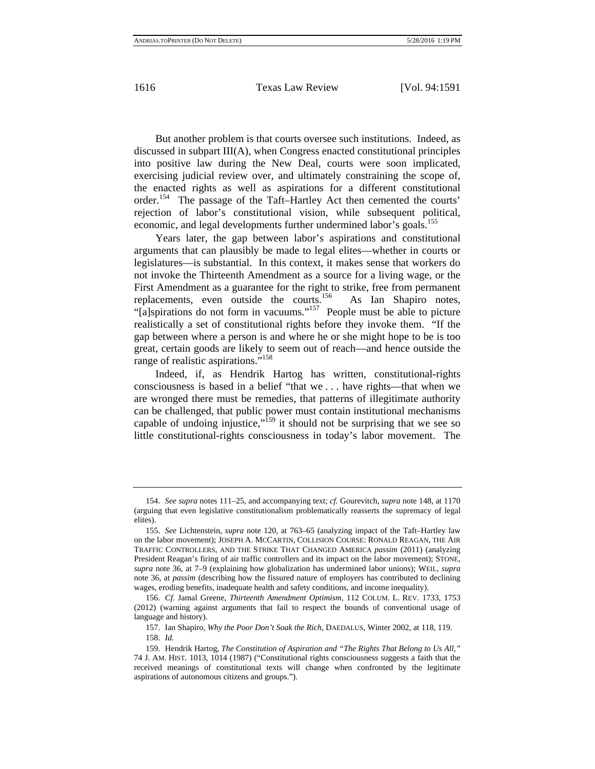But another problem is that courts oversee such institutions. Indeed, as discussed in subpart III(A), when Congress enacted constitutional principles into positive law during the New Deal, courts were soon implicated, exercising judicial review over, and ultimately constraining the scope of, the enacted rights as well as aspirations for a different constitutional order.154 The passage of the Taft–Hartley Act then cemented the courts' rejection of labor's constitutional vision, while subsequent political, economic, and legal developments further undermined labor's goals.<sup>155</sup>

Years later, the gap between labor's aspirations and constitutional arguments that can plausibly be made to legal elites—whether in courts or legislatures—is substantial. In this context, it makes sense that workers do not invoke the Thirteenth Amendment as a source for a living wage, or the First Amendment as a guarantee for the right to strike, free from permanent replacements, even outside the courts.<sup>156</sup> As Ian Shapiro notes, "[a]spirations do not form in vacuums."<sup>157</sup> People must be able to picture realistically a set of constitutional rights before they invoke them. "If the gap between where a person is and where he or she might hope to be is too great, certain goods are likely to seem out of reach—and hence outside the range of realistic aspirations."158

Indeed, if, as Hendrik Hartog has written, constitutional-rights consciousness is based in a belief "that we . . . have rights—that when we are wronged there must be remedies, that patterns of illegitimate authority can be challenged, that public power must contain institutional mechanisms capable of undoing injustice,"<sup>159</sup> it should not be surprising that we see so little constitutional-rights consciousness in today's labor movement. The

<sup>154.</sup> *See supra* notes 111–25, and accompanying text; *cf.* Gourevitch, *supra* note 148, at 1170 (arguing that even legislative constitutionalism problematically reasserts the supremacy of legal elites).

<sup>155.</sup> *See* Lichtenstein, *supra* note 120, at 763–65 (analyzing impact of the Taft–Hartley law on the labor movement); JOSEPH A. MCCARTIN, COLLISION COURSE: RONALD REAGAN, THE AIR TRAFFIC CONTROLLERS, AND THE STRIKE THAT CHANGED AMERICA *passim* (2011) (analyzing President Reagan's firing of air traffic controllers and its impact on the labor movement); STONE, *supra* note 36, at 7–9 (explaining how globalization has undermined labor unions); WEIL, *supra*  note 36, at *passim* (describing how the fissured nature of employers has contributed to declining wages, eroding benefits, inadequate health and safety conditions, and income inequality).

<sup>156.</sup> *Cf.* Jamal Greene, *Thirteenth Amendment Optimism*, 112 COLUM. L. REV. 1733, 1753 (2012) (warning against arguments that fail to respect the bounds of conventional usage of language and history).

<sup>157.</sup> Ian Shapiro, *Why the Poor Don't Soak the Rich*, DAEDALUS, Winter 2002, at 118, 119. 158. *Id.*

<sup>159.</sup> Hendrik Hartog, *The Constitution of Aspiration and "The Rights That Belong to Us All*,*"* 74 J. AM. HIST. 1013, 1014 (1987) ("Constitutional rights consciousness suggests a faith that the received meanings of constitutional texts will change when confronted by the legitimate aspirations of autonomous citizens and groups.").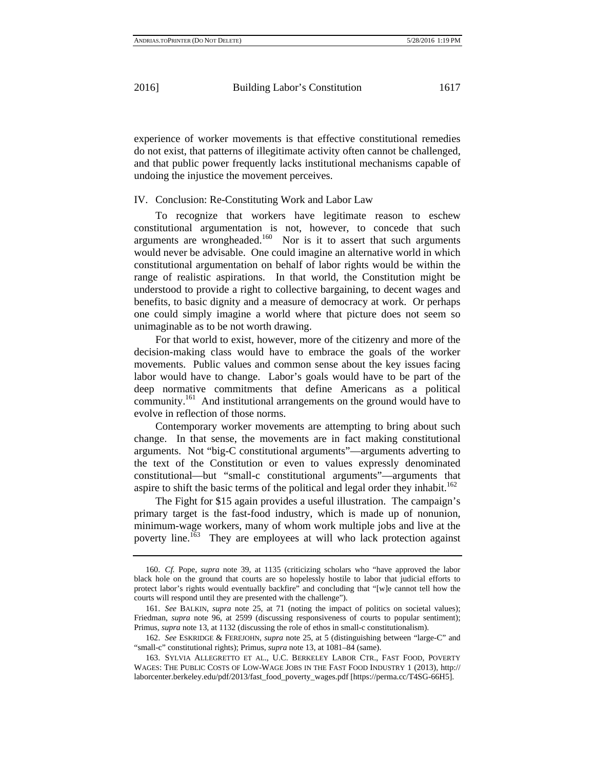experience of worker movements is that effective constitutional remedies do not exist, that patterns of illegitimate activity often cannot be challenged, and that public power frequently lacks institutional mechanisms capable of undoing the injustice the movement perceives.

#### IV. Conclusion: Re-Constituting Work and Labor Law

To recognize that workers have legitimate reason to eschew constitutional argumentation is not, however, to concede that such arguments are wrongheaded.<sup>160</sup> Nor is it to assert that such arguments would never be advisable. One could imagine an alternative world in which constitutional argumentation on behalf of labor rights would be within the range of realistic aspirations. In that world, the Constitution might be understood to provide a right to collective bargaining, to decent wages and benefits, to basic dignity and a measure of democracy at work. Or perhaps one could simply imagine a world where that picture does not seem so unimaginable as to be not worth drawing.

For that world to exist, however, more of the citizenry and more of the decision-making class would have to embrace the goals of the worker movements. Public values and common sense about the key issues facing labor would have to change. Labor's goals would have to be part of the deep normative commitments that define Americans as a political community.<sup>161</sup> And institutional arrangements on the ground would have to evolve in reflection of those norms.

Contemporary worker movements are attempting to bring about such change. In that sense, the movements are in fact making constitutional arguments. Not "big-C constitutional arguments"—arguments adverting to the text of the Constitution or even to values expressly denominated constitutional—but "small-c constitutional arguments"—arguments that aspire to shift the basic terms of the political and legal order they inhabit.<sup>162</sup>

The Fight for \$15 again provides a useful illustration. The campaign's primary target is the fast-food industry, which is made up of nonunion, minimum-wage workers, many of whom work multiple jobs and live at the poverty line.163 They are employees at will who lack protection against

<sup>160.</sup> *Cf.* Pope, *supra* note 39, at 1135 (criticizing scholars who "have approved the labor black hole on the ground that courts are so hopelessly hostile to labor that judicial efforts to protect labor's rights would eventually backfire" and concluding that "[w]e cannot tell how the courts will respond until they are presented with the challenge").

<sup>161.</sup> *See* BALKIN, *supra* note 25, at 71 (noting the impact of politics on societal values); Friedman, *supra* note 96, at 2599 (discussing responsiveness of courts to popular sentiment); Primus, *supra* note 13, at 1132 (discussing the role of ethos in small-c constitutionalism).

<sup>162.</sup> *See* ESKRIDGE & FEREJOHN, *supra* note 25, at 5 (distinguishing between "large-C" and "small-c" constitutional rights); Primus, *supra* note 13, at 1081–84 (same).

<sup>163.</sup> SYLVIA ALLEGRETTO ET AL., U.C. BERKELEY LABOR CTR., FAST FOOD, POVERTY WAGES: THE PUBLIC COSTS OF LOW-WAGE JOBS IN THE FAST FOOD INDUSTRY 1 (2013), http:// laborcenter.berkeley.edu/pdf/2013/fast\_food\_poverty\_wages.pdf [https://perma.cc/T4SG-66H5].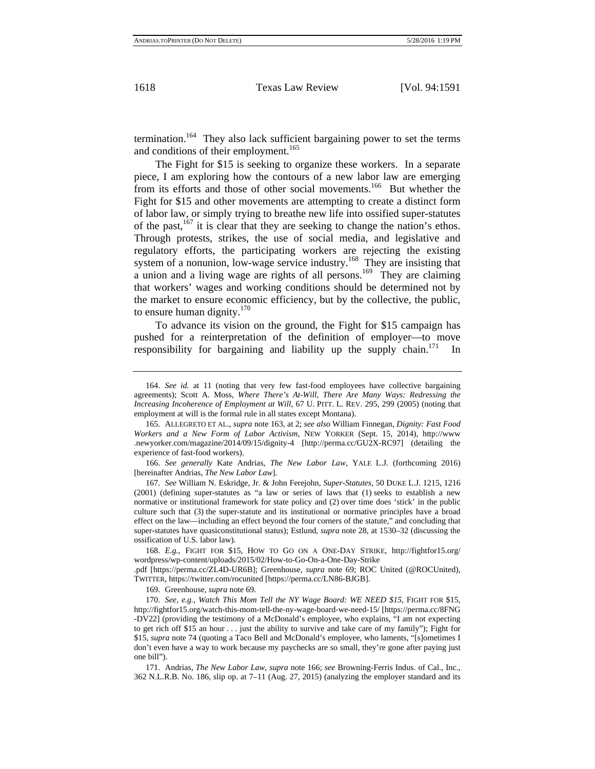termination.<sup>164</sup> They also lack sufficient bargaining power to set the terms and conditions of their employment.<sup>165</sup>

The Fight for \$15 is seeking to organize these workers. In a separate piece, I am exploring how the contours of a new labor law are emerging from its efforts and those of other social movements.<sup>166</sup> But whether the Fight for \$15 and other movements are attempting to create a distinct form of labor law, or simply trying to breathe new life into ossified super-statutes of the past, $167$  it is clear that they are seeking to change the nation's ethos. Through protests, strikes, the use of social media, and legislative and regulatory efforts, the participating workers are rejecting the existing system of a nonunion, low-wage service industry.<sup>168</sup> They are insisting that a union and a living wage are rights of all persons.<sup>169</sup> They are claiming that workers' wages and working conditions should be determined not by the market to ensure economic efficiency, but by the collective, the public, to ensure human dignity. $170$ 

To advance its vision on the ground, the Fight for \$15 campaign has pushed for a reinterpretation of the definition of employer—to move responsibility for bargaining and liability up the supply chain.<sup>171</sup> In

166. *See generally* Kate Andrias, *The New Labor Law*, YALE L.J. (forthcoming 2016) [hereinafter Andrias, *The New Labor Law*].

167. *See* William N. Eskridge, Jr. & John Ferejohn, *Super-Statutes*, 50 DUKE L.J. 1215, 1216 (2001) (defining super-statutes as "a law or series of laws that (1) seeks to establish a new normative or institutional framework for state policy and (2) over time does 'stick' in the public culture such that (3) the super-statute and its institutional or normative principles have a broad effect on the law—including an effect beyond the four corners of the statute," and concluding that super-statutes have quasiconstitutional status); Estlund, *supra* note 28, at 1530–32 (discussing the ossification of U.S. labor law).

168. *E.g.*, FIGHT FOR \$15, HOW TO GO ON A ONE-DAY STRIKE, http://fightfor15.org/ wordpress/wp-content/uploads/2015/02/How-to-Go-On-a-One-Day-Strike

.pdf [https://perma.cc/ZL4D-UR6B]; Greenhouse, *supra* note 69; ROC United (@ROCUnited), TWITTER, https://twitter.com/rocunited [https://perma.cc/LN86-BJGB].

169. Greenhouse, *supra* note 69.

170. *See, e.g.*, *Watch This Mom Tell the NY Wage Board: WE NEED \$15*, FIGHT FOR \$15, http://fightfor15.org/watch-this-mom-tell-the-ny-wage-board-we-need-15/ [https://perma.cc/8FNG -DV22] (providing the testimony of a McDonald's employee, who explains, "I am not expecting to get rich off \$15 an hour . . . just the ability to survive and take care of my family"); Fight for \$15, *supra* note 74 (quoting a Taco Bell and McDonald's employee, who laments, "[s]ometimes I don't even have a way to work because my paychecks are so small, they're gone after paying just one bill").

171. Andrias, *The New Labor Law*, *supra* note 166; *see* Browning-Ferris Indus. of Cal., Inc., 362 N.L.R.B. No. 186, slip op. at 7–11 (Aug. 27, 2015) (analyzing the employer standard and its

<sup>164.</sup> *See id.* at 11 (noting that very few fast-food employees have collective bargaining agreements); Scott A. Moss, *Where There's At-Will, There Are Many Ways: Redressing the Increasing Incoherence of Employment at Will*, 67 U. PITT. L. REV. 295, 299 (2005) (noting that employment at will is the formal rule in all states except Montana).

<sup>165.</sup> ALLEGRETO ET AL., *supra* note 163, at 2; *see also* William Finnegan, *Dignity: Fast Food Workers and a New Form of Labor Activism*, NEW YORKER (Sept. 15, 2014), http://www .newyorker.com/magazine/2014/09/15/dignity-4 [http://perma.cc/GU2X-RC97] (detailing the experience of fast-food workers).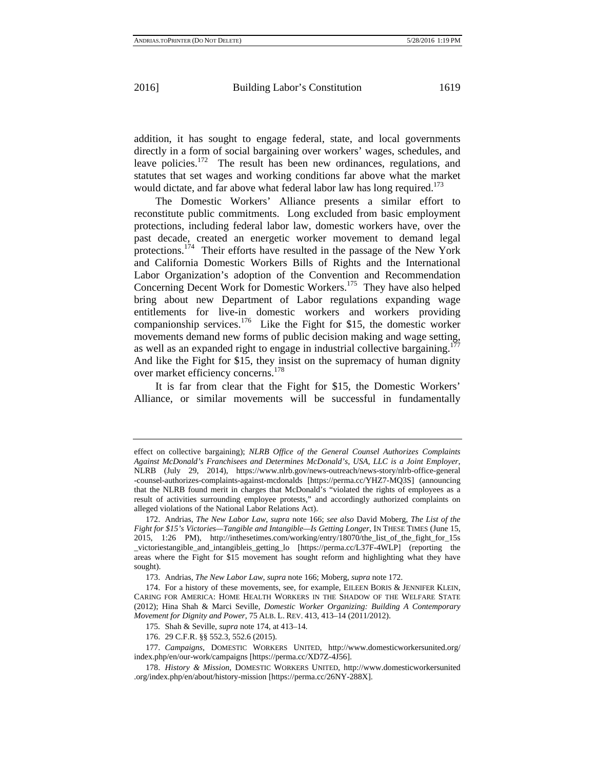addition, it has sought to engage federal, state, and local governments directly in a form of social bargaining over workers' wages, schedules, and leave policies.<sup>172</sup> The result has been new ordinances, regulations, and statutes that set wages and working conditions far above what the market would dictate, and far above what federal labor law has long required.<sup>173</sup>

The Domestic Workers' Alliance presents a similar effort to reconstitute public commitments. Long excluded from basic employment protections, including federal labor law, domestic workers have, over the past decade, created an energetic worker movement to demand legal protections.<sup>174</sup> Their efforts have resulted in the passage of the New York and California Domestic Workers Bills of Rights and the International Labor Organization's adoption of the Convention and Recommendation Concerning Decent Work for Domestic Workers.<sup>175</sup> They have also helped bring about new Department of Labor regulations expanding wage entitlements for live-in domestic workers and workers providing companionship services.<sup>176</sup> Like the Fight for \$15, the domestic worker movements demand new forms of public decision making and wage setting, as well as an expanded right to engage in industrial collective bargaining.<sup>1</sup> And like the Fight for \$15, they insist on the supremacy of human dignity over market efficiency concerns.<sup>178</sup>

It is far from clear that the Fight for \$15, the Domestic Workers' Alliance, or similar movements will be successful in fundamentally

effect on collective bargaining); *NLRB Office of the General Counsel Authorizes Complaints Against McDonald's Franchisees and Determines McDonald's, USA, LLC is a Joint Employer*, NLRB (July 29, 2014), https://www.nlrb.gov/news-outreach/news-story/nlrb-office-general -counsel-authorizes-complaints-against-mcdonalds [https://perma.cc/YHZ7-MQ3S] (announcing that the NLRB found merit in charges that McDonald's "violated the rights of employees as a result of activities surrounding employee protests," and accordingly authorized complaints on alleged violations of the National Labor Relations Act).

<sup>172.</sup> Andrias, *The New Labor Law*, *supra* note 166; *see also* David Moberg, *The List of the Fight for \$15's Victories—Tangible and Intangible—Is Getting Longer*, IN THESE TIMES (June 15, 2015, 1:26 PM), http://inthesetimes.com/working/entry/18070/the\_list\_of\_the\_fight\_for\_15s \_victoriestangible\_and\_intangibleis\_getting\_lo [https://perma.cc/L37F-4WLP] (reporting the areas where the Fight for \$15 movement has sought reform and highlighting what they have sought).

<sup>173.</sup> Andrias, *The New Labor Law*, *supra* note 166; Moberg, *supra* note 172.

<sup>174.</sup> For a history of these movements, see, for example, EILEEN BORIS & JENNIFER KLEIN, CARING FOR AMERICA: HOME HEALTH WORKERS IN THE SHADOW OF THE WELFARE STATE (2012); Hina Shah & Marci Seville, *Domestic Worker Organizing: Building A Contemporary Movement for Dignity and Power*, 75 ALB. L. REV. 413, 413–14 (2011/2012).

<sup>175.</sup> Shah & Seville, *supra* note 174, at 413–14.

<sup>176. 29</sup> C.F.R. §§ 552.3, 552.6 (2015).

<sup>177.</sup> *Campaigns*, DOMESTIC WORKERS UNITED, http://www.domesticworkersunited.org/ index.php/en/our-work/campaigns [https://perma.cc/XD7Z-4J56].

<sup>178.</sup> *History & Mission*, DOMESTIC WORKERS UNITED, http://www.domesticworkersunited .org/index.php/en/about/history-mission [https://perma.cc/26NY-288X].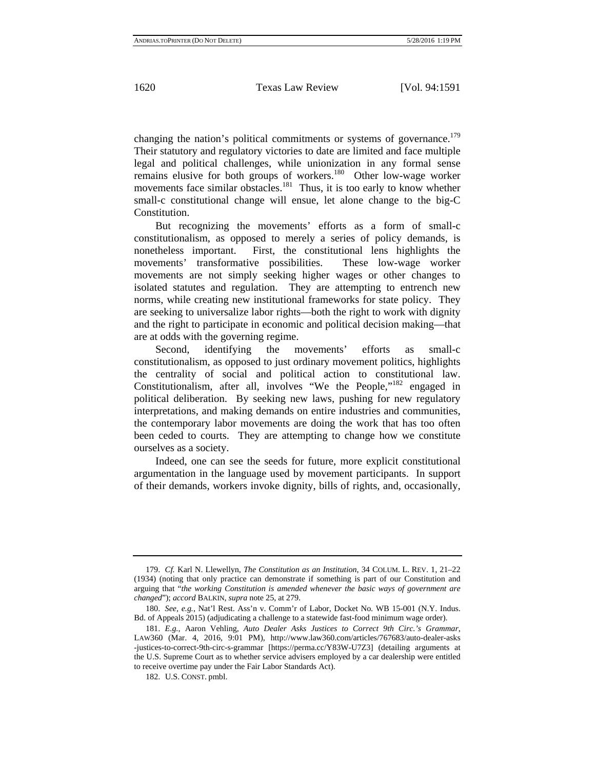changing the nation's political commitments or systems of governance.<sup>179</sup> Their statutory and regulatory victories to date are limited and face multiple legal and political challenges, while unionization in any formal sense remains elusive for both groups of workers.<sup>180</sup> Other low-wage worker movements face similar obstacles.<sup>181</sup> Thus, it is too early to know whether small-c constitutional change will ensue, let alone change to the big-C Constitution.

But recognizing the movements' efforts as a form of small-c constitutionalism, as opposed to merely a series of policy demands, is nonetheless important. First, the constitutional lens highlights the movements' transformative possibilities. These low-wage worker movements are not simply seeking higher wages or other changes to isolated statutes and regulation. They are attempting to entrench new norms, while creating new institutional frameworks for state policy. They are seeking to universalize labor rights—both the right to work with dignity and the right to participate in economic and political decision making—that are at odds with the governing regime.

Second, identifying the movements' efforts as small-c constitutionalism, as opposed to just ordinary movement politics, highlights the centrality of social and political action to constitutional law. Constitutionalism, after all, involves "We the People,"<sup>182</sup> engaged in political deliberation. By seeking new laws, pushing for new regulatory interpretations, and making demands on entire industries and communities, the contemporary labor movements are doing the work that has too often been ceded to courts. They are attempting to change how we constitute ourselves as a society.

Indeed, one can see the seeds for future, more explicit constitutional argumentation in the language used by movement participants. In support of their demands, workers invoke dignity, bills of rights, and, occasionally,

<sup>179.</sup> *Cf.* Karl N. Llewellyn, *The Constitution as an Institution*, 34 COLUM. L. REV. 1, 21–22 (1934) (noting that only practice can demonstrate if something is part of our Constitution and arguing that "*the working Constitution is amended whenever the basic ways of government are changed*"); *accord* BALKIN, *supra* note 25, at 279.

<sup>180.</sup> *See, e.g.*, Nat'l Rest. Ass'n v. Comm'r of Labor, Docket No. WB 15-001 (N.Y. Indus. Bd. of Appeals 2015) (adjudicating a challenge to a statewide fast-food minimum wage order).

<sup>181.</sup> *E.g.*, Aaron Vehling, *Auto Dealer Asks Justices to Correct 9th Circ.'s Grammar*, LAW360 (Mar. 4, 2016, 9:01 PM), http://www.law360.com/articles/767683/auto-dealer-asks -justices-to-correct-9th-circ-s-grammar [https://perma.cc/Y83W-U7Z3] (detailing arguments at the U.S. Supreme Court as to whether service advisers employed by a car dealership were entitled to receive overtime pay under the Fair Labor Standards Act).

<sup>182.</sup> U.S. CONST. pmbl.